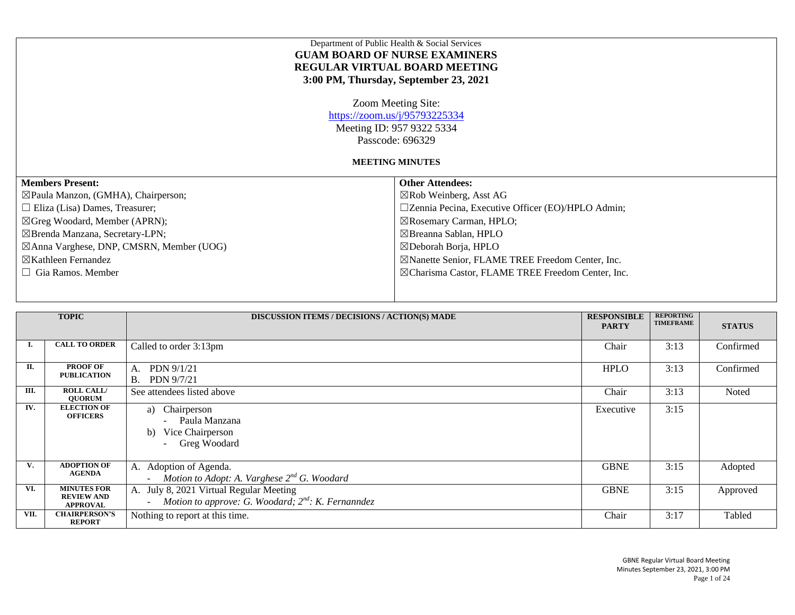|                                                | Department of Public Health & Social Services<br><b>GUAM BOARD OF NURSE EXAMINERS</b><br><b>REGULAR VIRTUAL BOARD MEETING</b><br>3:00 PM, Thursday, September 23, 2021 |
|------------------------------------------------|------------------------------------------------------------------------------------------------------------------------------------------------------------------------|
|                                                | Zoom Meeting Site:<br>https://zoom.us/j/95793225334<br>Meeting ID: 957 9322 5334<br>Passcode: 696329                                                                   |
|                                                | <b>MEETING MINUTES</b>                                                                                                                                                 |
| <b>Members Present:</b>                        | <b>Other Attendees:</b>                                                                                                                                                |
| $\boxtimes$ Paula Manzon, (GMHA), Chairperson; | $\boxtimes$ Rob Weinberg, Asst AG                                                                                                                                      |
| $\Box$ Eliza (Lisa) Dames, Treasurer;          | $\square$ Zennia Pecina, Executive Officer (EO)/HPLO Admin;                                                                                                            |
| $\boxtimes$ Greg Woodard, Member (APRN);       | $\boxtimes$ Rosemary Carman, HPLO;                                                                                                                                     |
| ⊠Brenda Manzana, Secretary-LPN;                | $\boxtimes$ Breanna Sablan, HPLO                                                                                                                                       |
| ⊠Anna Varghese, DNP, CMSRN, Member (UOG)       | $\boxtimes$ Deborah Borja, HPLO                                                                                                                                        |
| $\boxtimes$ Kathleen Fernandez                 | ⊠Nanette Senior, FLAME TREE Freedom Center, Inc.                                                                                                                       |
| $\Box$ Gia Ramos. Member                       | ⊠Charisma Castor, FLAME TREE Freedom Center, Inc.                                                                                                                      |
|                                                |                                                                                                                                                                        |

|      | <b>TOPIC</b>                                               | <b>DISCUSSION ITEMS / DECISIONS / ACTION(S) MADE</b>                                                                                 | <b>RESPONSIBLE</b><br><b>PARTY</b> | <b>REPORTING</b><br><b>TIMEFRAME</b> | <b>STATUS</b> |
|------|------------------------------------------------------------|--------------------------------------------------------------------------------------------------------------------------------------|------------------------------------|--------------------------------------|---------------|
| L.   | <b>CALL TO ORDER</b>                                       | Called to order 3:13pm                                                                                                               | Chair                              | 3:13                                 | Confirmed     |
| П.   | <b>PROOF OF</b><br><b>PUBLICATION</b>                      | PDN 9/1/21<br>A.<br><b>B.</b><br>PDN 9/7/21                                                                                          | <b>HPLO</b>                        | 3:13                                 | Confirmed     |
| Ш.   | <b>ROLL CALL/</b><br><b>OUORUM</b>                         | See attendees listed above                                                                                                           | Chair                              | 3:13                                 | Noted         |
| IV.  | <b>ELECTION OF</b><br><b>OFFICERS</b>                      | Chairperson<br>a)<br>Paula Manzana<br>$\overline{\phantom{a}}$<br>Vice Chairperson<br>b)<br>Greg Woodard<br>$\overline{\phantom{a}}$ | Executive                          | 3:15                                 |               |
| V.   | <b>ADOPTION OF</b><br><b>AGENDA</b>                        | A. Adoption of Agenda.<br>Motion to Adopt: A. Varghese $2^{nd}$ G. Woodard                                                           | <b>GBNE</b>                        | 3:15                                 | Adopted       |
| VI.  | <b>MINUTES FOR</b><br><b>REVIEW AND</b><br><b>APPROVAL</b> | A. July 8, 2021 Virtual Regular Meeting<br>Motion to approve: G. Woodard; $2^{nd}$ : K. Fernanndez                                   | <b>GBNE</b>                        | 3:15                                 | Approved      |
| VII. | <b>CHAIRPERSON'S</b><br><b>REPORT</b>                      | Nothing to report at this time.                                                                                                      | Chair                              | 3:17                                 | Tabled        |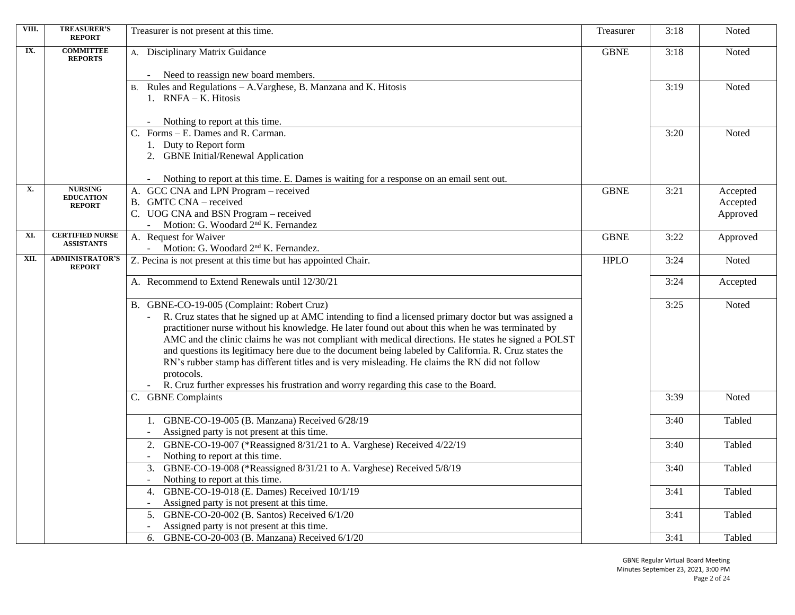| VIII. | <b>TREASURER'S</b><br><b>REPORT</b>         | Treasurer is not present at this time.                                                                    | Treasurer   | 3:18 | Noted    |
|-------|---------------------------------------------|-----------------------------------------------------------------------------------------------------------|-------------|------|----------|
| IX.   | <b>COMMITTEE</b><br><b>REPORTS</b>          | A. Disciplinary Matrix Guidance                                                                           | <b>GBNE</b> | 3:18 | Noted    |
|       |                                             | Need to reassign new board members.                                                                       |             |      |          |
|       |                                             | Rules and Regulations - A. Varghese, B. Manzana and K. Hitosis                                            |             | 3:19 | Noted    |
|       |                                             | 1. RNFA - K. Hitosis                                                                                      |             |      |          |
|       |                                             |                                                                                                           |             |      |          |
|       |                                             | Nothing to report at this time.                                                                           |             |      |          |
|       |                                             | C. Forms – E. Dames and R. Carman.                                                                        |             | 3:20 | Noted    |
|       |                                             | 1. Duty to Report form                                                                                    |             |      |          |
|       |                                             | 2. GBNE Initial/Renewal Application                                                                       |             |      |          |
|       |                                             | Nothing to report at this time. E. Dames is waiting for a response on an email sent out.                  |             |      |          |
| X.    | <b>NURSING</b><br><b>EDUCATION</b>          | A. GCC CNA and LPN Program - received                                                                     | <b>GBNE</b> | 3:21 | Accepted |
|       | <b>REPORT</b>                               | B. GMTC CNA - received                                                                                    |             |      | Accepted |
|       |                                             | C. UOG CNA and BSN Program – received                                                                     |             |      | Approved |
|       |                                             | Motion: G. Woodard 2 <sup>nd</sup> K. Fernandez                                                           |             |      |          |
| XI.   | <b>CERTIFIED NURSE</b><br><b>ASSISTANTS</b> | A. Request for Waiver                                                                                     | <b>GBNE</b> | 3:22 | Approved |
| XII.  | <b>ADMINISTRATOR'S</b>                      | - Motion: G. Woodard 2 <sup>nd</sup> K. Fernandez.                                                        | <b>HPLO</b> | 3:24 | Noted    |
|       | <b>REPORT</b>                               | Z. Pecina is not present at this time but has appointed Chair.                                            |             |      |          |
|       |                                             | A. Recommend to Extend Renewals until 12/30/21                                                            |             | 3:24 | Accepted |
|       |                                             |                                                                                                           |             |      |          |
|       |                                             | B. GBNE-CO-19-005 (Complaint: Robert Cruz)                                                                |             | 3:25 | Noted    |
|       |                                             | R. Cruz states that he signed up at AMC intending to find a licensed primary doctor but was assigned a    |             |      |          |
|       |                                             | practitioner nurse without his knowledge. He later found out about this when he was terminated by         |             |      |          |
|       |                                             | AMC and the clinic claims he was not compliant with medical directions. He states he signed a POLST       |             |      |          |
|       |                                             | and questions its legitimacy here due to the document being labeled by California. R. Cruz states the     |             |      |          |
|       |                                             | RN's rubber stamp has different titles and is very misleading. He claims the RN did not follow            |             |      |          |
|       |                                             | protocols.<br>R. Cruz further expresses his frustration and worry regarding this case to the Board.       |             |      |          |
|       |                                             | C. GBNE Complaints                                                                                        |             | 3:39 | Noted    |
|       |                                             |                                                                                                           |             |      |          |
|       |                                             | 1. GBNE-CO-19-005 (B. Manzana) Received 6/28/19                                                           |             | 3:40 | Tabled   |
|       |                                             | Assigned party is not present at this time.                                                               |             |      |          |
|       |                                             | GBNE-CO-19-007 (*Reassigned 8/31/21 to A. Varghese) Received 4/22/19                                      |             | 3:40 | Tabled   |
|       |                                             | Nothing to report at this time.                                                                           |             |      |          |
|       |                                             | 3. GBNE-CO-19-008 (*Reassigned 8/31/21 to A. Varghese) Received 5/8/19<br>Nothing to report at this time. |             | 3:40 | Tabled   |
|       |                                             | GBNE-CO-19-018 (E. Dames) Received 10/1/19                                                                |             | 3:41 | Tabled   |
|       |                                             | Assigned party is not present at this time.                                                               |             |      |          |
|       |                                             | 5. GBNE-CO-20-002 (B. Santos) Received 6/1/20                                                             |             | 3:41 | Tabled   |
|       |                                             | Assigned party is not present at this time.                                                               |             |      |          |
|       |                                             | 6. GBNE-CO-20-003 (B. Manzana) Received 6/1/20                                                            |             | 3:41 | Tabled   |

GBNE Regular Virtual Board Meeting Minutes September 23, 2021, 3:00 PM Page 2 of 24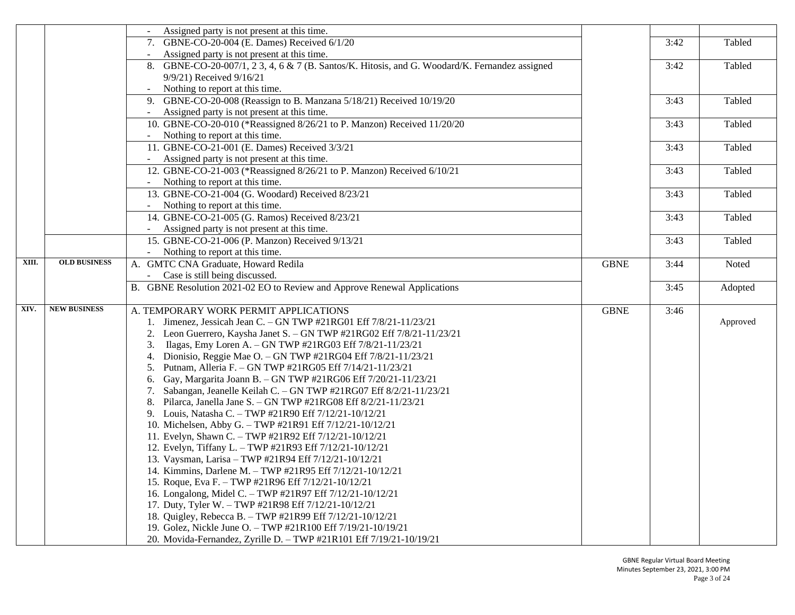|       |                     | Assigned party is not present at this time.                                                    |             |      |          |
|-------|---------------------|------------------------------------------------------------------------------------------------|-------------|------|----------|
|       |                     | 7. GBNE-CO-20-004 (E. Dames) Received 6/1/20                                                   |             | 3:42 | Tabled   |
|       |                     | Assigned party is not present at this time.<br>$ \,$                                           |             |      |          |
|       |                     | 8. GBNE-CO-20-007/1, 2 3, 4, 6 & 7 (B. Santos/K. Hitosis, and G. Woodard/K. Fernandez assigned |             | 3:42 | Tabled   |
|       |                     | 9/9/21) Received 9/16/21                                                                       |             |      |          |
|       |                     | Nothing to report at this time.                                                                |             |      |          |
|       |                     | GBNE-CO-20-008 (Reassign to B. Manzana 5/18/21) Received 10/19/20<br>9.                        |             | 3:43 | Tabled   |
|       |                     | Assigned party is not present at this time.                                                    |             |      |          |
|       |                     | 10. GBNE-CO-20-010 (*Reassigned 8/26/21 to P. Manzon) Received 11/20/20                        |             | 3:43 | Tabled   |
|       |                     | Nothing to report at this time.<br>$\omega_{\rm{eff}}$                                         |             |      |          |
|       |                     | 11. GBNE-CO-21-001 (E. Dames) Received 3/3/21                                                  |             | 3:43 | Tabled   |
|       |                     | Assigned party is not present at this time.                                                    |             |      |          |
|       |                     | 12. GBNE-CO-21-003 (*Reassigned 8/26/21 to P. Manzon) Received 6/10/21                         |             | 3:43 | Tabled   |
|       |                     | Nothing to report at this time.                                                                |             |      |          |
|       |                     | 13. GBNE-CO-21-004 (G. Woodard) Received 8/23/21                                               |             | 3:43 | Tabled   |
|       |                     | Nothing to report at this time.<br>$\sim$                                                      |             |      |          |
|       |                     | 14. GBNE-CO-21-005 (G. Ramos) Received 8/23/21                                                 |             | 3:43 | Tabled   |
|       |                     | Assigned party is not present at this time.                                                    |             |      |          |
|       |                     | 15. GBNE-CO-21-006 (P. Manzon) Received 9/13/21                                                |             | 3:43 | Tabled   |
|       |                     | Nothing to report at this time.                                                                |             |      |          |
| XIII. | <b>OLD BUSINESS</b> | A. GMTC CNA Graduate, Howard Redila                                                            | <b>GBNE</b> | 3:44 | Noted    |
|       |                     | Case is still being discussed.<br>$\sim$                                                       |             |      |          |
|       |                     | B. GBNE Resolution 2021-02 EO to Review and Approve Renewal Applications                       |             | 3:45 | Adopted  |
|       |                     |                                                                                                |             |      |          |
| XIV.  | <b>NEW BUSINESS</b> | A. TEMPORARY WORK PERMIT APPLICATIONS                                                          | <b>GBNE</b> | 3:46 |          |
|       |                     | Jimenez, Jessicah Jean C. - GN TWP #21RG01 Eff 7/8/21-11/23/21                                 |             |      | Approved |
|       |                     | Leon Guerrero, Kaysha Janet S. - GN TWP #21RG02 Eff 7/8/21-11/23/21                            |             |      |          |
|       |                     | Ilagas, Emy Loren A. - GN TWP #21RG03 Eff 7/8/21-11/23/21<br>3.                                |             |      |          |
|       |                     | Dionisio, Reggie Mae O. - GN TWP #21RG04 Eff 7/8/21-11/23/21<br>4.                             |             |      |          |
|       |                     | Putnam, Alleria F. - GN TWP #21RG05 Eff 7/14/21-11/23/21<br>5.                                 |             |      |          |
|       |                     | Gay, Margarita Joann B. - GN TWP #21RG06 Eff 7/20/21-11/23/21<br>6.                            |             |      |          |
|       |                     | Sabangan, Jeanelle Keilah C. - GN TWP #21RG07 Eff 8/2/21-11/23/21<br>7.                        |             |      |          |
|       |                     | Pilarca, Janella Jane S. - GN TWP #21RG08 Eff 8/2/21-11/23/21<br>8.                            |             |      |          |
|       |                     | Louis, Natasha C. - TWP #21R90 Eff 7/12/21-10/12/21                                            |             |      |          |
|       |                     | 10. Michelsen, Abby G. - TWP #21R91 Eff 7/12/21-10/12/21                                       |             |      |          |
|       |                     | 11. Evelyn, Shawn C. - TWP #21R92 Eff 7/12/21-10/12/21                                         |             |      |          |
|       |                     | 12. Evelyn, Tiffany L. - TWP #21R93 Eff 7/12/21-10/12/21                                       |             |      |          |
|       |                     | 13. Vaysman, Larisa - TWP #21R94 Eff 7/12/21-10/12/21                                          |             |      |          |
|       |                     | 14. Kimmins, Darlene M. - TWP #21R95 Eff 7/12/21-10/12/21                                      |             |      |          |
|       |                     | 15. Roque, Eva F. - TWP #21R96 Eff 7/12/21-10/12/21                                            |             |      |          |
|       |                     | 16. Longalong, Midel C. - TWP #21R97 Eff 7/12/21-10/12/21                                      |             |      |          |
|       |                     | 17. Duty, Tyler W. - TWP #21R98 Eff 7/12/21-10/12/21                                           |             |      |          |
|       |                     | 18. Quigley, Rebecca B. - TWP #21R99 Eff 7/12/21-10/12/21                                      |             |      |          |
|       |                     | 19. Golez, Nickle June O. - TWP #21R100 Eff 7/19/21-10/19/21                                   |             |      |          |
|       |                     | 20. Movida-Fernandez, Zyrille D. - TWP #21R101 Eff 7/19/21-10/19/21                            |             |      |          |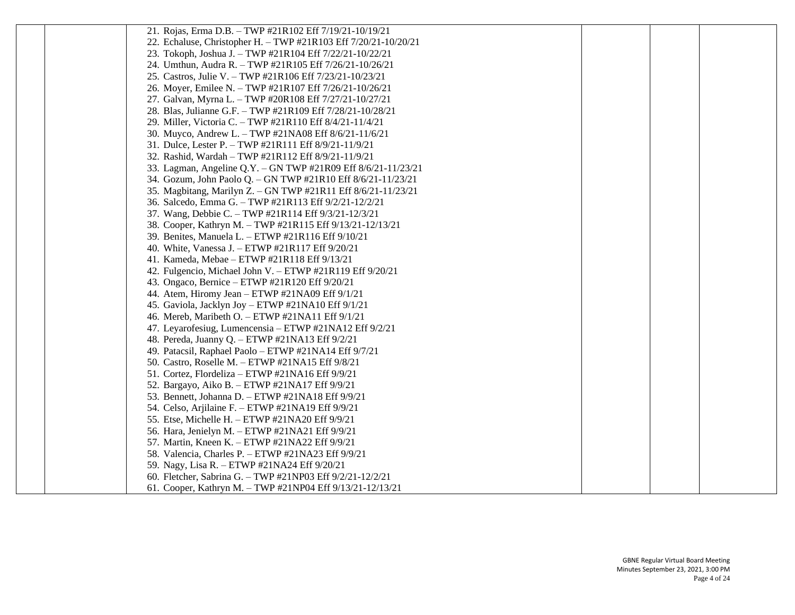| 21. Rojas, Erma D.B. - TWP #21R102 Eff 7/19/21-10/19/21         |  |  |
|-----------------------------------------------------------------|--|--|
| 22. Echaluse, Christopher H. - TWP #21R103 Eff 7/20/21-10/20/21 |  |  |
| 23. Tokoph, Joshua J. - TWP #21R104 Eff 7/22/21-10/22/21        |  |  |
| 24. Umthun, Audra R. - TWP #21R105 Eff 7/26/21-10/26/21         |  |  |
| 25. Castros, Julie V. - TWP #21R106 Eff 7/23/21-10/23/21        |  |  |
| 26. Moyer, Emilee N. - TWP #21R107 Eff 7/26/21-10/26/21         |  |  |
| 27. Galvan, Myrna L. - TWP #20R108 Eff 7/27/21-10/27/21         |  |  |
| 28. Blas, Julianne G.F. - TWP #21R109 Eff 7/28/21-10/28/21      |  |  |
| 29. Miller, Victoria C. - TWP #21R110 Eff 8/4/21-11/4/21        |  |  |
| 30. Muyco, Andrew L. - TWP #21NA08 Eff 8/6/21-11/6/21           |  |  |
| 31. Dulce, Lester P. - TWP #21R111 Eff 8/9/21-11/9/21           |  |  |
| 32. Rashid, Wardah - TWP #21R112 Eff 8/9/21-11/9/21             |  |  |
| 33. Lagman, Angeline Q.Y. - GN TWP #21R09 Eff 8/6/21-11/23/21   |  |  |
| 34. Gozum, John Paolo Q. - GN TWP #21R10 Eff 8/6/21-11/23/21    |  |  |
| 35. Magbitang, Marilyn Z. - GN TWP #21R11 Eff 8/6/21-11/23/21   |  |  |
| 36. Salcedo, Emma G. - TWP #21R113 Eff 9/2/21-12/2/21           |  |  |
| 37. Wang, Debbie C. - TWP #21R114 Eff 9/3/21-12/3/21            |  |  |
| 38. Cooper, Kathryn M. - TWP #21R115 Eff 9/13/21-12/13/21       |  |  |
| 39. Benites, Manuela L. - ETWP #21R116 Eff 9/10/21              |  |  |
| 40. White, Vanessa J. - ETWP #21R117 Eff 9/20/21                |  |  |
| 41. Kameda, Mebae - ETWP #21R118 Eff 9/13/21                    |  |  |
| 42. Fulgencio, Michael John V. - ETWP #21R119 Eff 9/20/21       |  |  |
| 43. Ongaco, Bernice - ETWP #21R120 Eff 9/20/21                  |  |  |
| 44. Atem, Hiromy Jean - ETWP #21NA09 Eff 9/1/21                 |  |  |
| 45. Gaviola, Jacklyn Joy - ETWP #21NA10 Eff 9/1/21              |  |  |
| 46. Mereb, Maribeth O. - ETWP #21NA11 Eff 9/1/21                |  |  |
| 47. Leyarofesiug, Lumencensia – ETWP #21NA12 Eff 9/2/21         |  |  |
| 48. Pereda, Juanny Q. - ETWP #21NA13 Eff 9/2/21                 |  |  |
| 49. Patacsil, Raphael Paolo - ETWP #21NA14 Eff 9/7/21           |  |  |
| 50. Castro, Roselle M. - ETWP #21NA15 Eff 9/8/21                |  |  |
| 51. Cortez, Flordeliza – ETWP #21NA16 Eff 9/9/21                |  |  |
| 52. Bargayo, Aiko B. - ETWP #21NA17 Eff 9/9/21                  |  |  |
| 53. Bennett, Johanna D. - ETWP #21NA18 Eff 9/9/21               |  |  |
| 54. Celso, Arjilaine F. - ETWP #21NA19 Eff 9/9/21               |  |  |
| 55. Etse, Michelle H. - ETWP #21NA20 Eff 9/9/21                 |  |  |
| 56. Hara, Jenielyn M. - ETWP #21NA21 Eff 9/9/21                 |  |  |
| 57. Martin, Kneen K. - ETWP #21NA22 Eff 9/9/21                  |  |  |
| 58. Valencia, Charles P. - ETWP #21NA23 Eff 9/9/21              |  |  |
| 59. Nagy, Lisa R. - ETWP #21NA24 Eff 9/20/21                    |  |  |
| 60. Fletcher, Sabrina G. - TWP #21NP03 Eff 9/2/21-12/2/21       |  |  |
| 61. Cooper, Kathryn M. - TWP #21NP04 Eff 9/13/21-12/13/21       |  |  |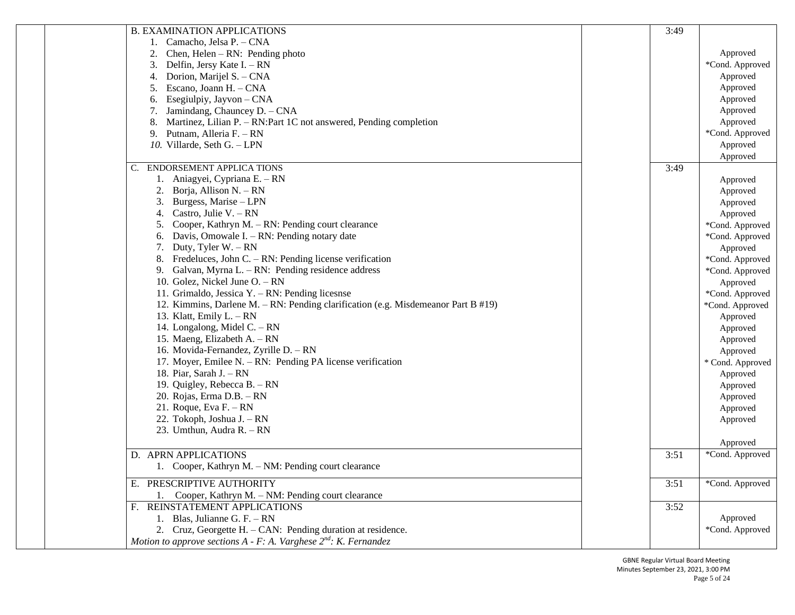| <b>B. EXAMINATION APPLICATIONS</b>                                                | 3:49 |                      |
|-----------------------------------------------------------------------------------|------|----------------------|
| 1. Camacho, Jelsa P. - CNA                                                        |      |                      |
| Chen, Helen $- RN:$ Pending photo<br>2.                                           |      | Approved             |
| Delfin, Jersy Kate I. - RN<br>3.                                                  |      | *Cond. Approved      |
| Dorion, Marijel S. - CNA<br>4.                                                    |      | Approved             |
| Escano, Joann H. - CNA                                                            |      | Approved             |
| Esegiulpiy, Jayvon – CNA<br>6.                                                    |      | Approved             |
| Jamindang, Chauncey D. - CNA                                                      |      | Approved             |
| Martinez, Lilian P. – RN: Part 1C not answered, Pending completion<br>8.          |      | Approved             |
| Putnam, Alleria F. - RN<br>9.                                                     |      | *Cond. Approved      |
|                                                                                   |      |                      |
| 10. Villarde, Seth G. - LPN                                                       |      | Approved<br>Approved |
| ENDORSEMENT APPLICA TIONS                                                         | 3:49 |                      |
| 1. Aniagyei, Cypriana E. – RN                                                     |      | Approved             |
| Borja, Allison N. – RN                                                            |      | Approved             |
| Burgess, Marise - LPN<br>3.                                                       |      | Approved             |
| Castro, Julie V. $- RN$<br>4.                                                     |      | Approved             |
| Cooper, Kathryn M. – RN: Pending court clearance                                  |      | *Cond. Approved      |
| Davis, Omowale I. - RN: Pending notary date<br>6.                                 |      | *Cond. Approved      |
| Duty, Tyler $W - RN$                                                              |      | Approved             |
| 8. Fredeluces, John C. $- RN$ : Pending license verification                      |      | *Cond. Approved      |
| 9. Galvan, Myrna L. – RN: Pending residence address                               |      |                      |
|                                                                                   |      | *Cond. Approved      |
| 10. Golez, Nickel June O. - RN                                                    |      | Approved             |
| 11. Grimaldo, Jessica Y. - RN: Pending licesnse                                   |      | *Cond. Approved      |
| 12. Kimmins, Darlene M. – RN: Pending clarification (e.g. Misdemeanor Part B #19) |      | *Cond. Approved      |
| 13. Klatt, Emily $L - RN$                                                         |      | Approved             |
| 14. Longalong, Midel C. - RN                                                      |      | Approved             |
| 15. Maeng, Elizabeth A. – RN                                                      |      | Approved             |
| 16. Movida-Fernandez, Zyrille D. - RN                                             |      | Approved             |
| 17. Moyer, Emilee N. $-$ RN: Pending PA license verification                      |      | * Cond. Approved     |
| 18. Piar, Sarah J. - RN                                                           |      | Approved             |
| 19. Quigley, Rebecca B. - RN                                                      |      | Approved             |
| 20. Rojas, Erma D.B. - RN                                                         |      | Approved             |
| 21. Roque, Eva $F - RN$                                                           |      | Approved             |
| 22. Tokoph, Joshua J. – RN                                                        |      | Approved             |
| 23. Umthun, Audra R. - RN                                                         |      |                      |
|                                                                                   |      | Approved             |
| D. APRN APPLICATIONS                                                              | 3:51 | *Cond. Approved      |
| 1. Cooper, Kathryn M. - NM: Pending court clearance                               |      |                      |
| E. PRESCRIPTIVE AUTHORITY                                                         | 3:51 | *Cond. Approved      |
| Cooper, Kathryn M. - NM: Pending court clearance                                  |      |                      |
| F. REINSTATEMENT APPLICATIONS                                                     | 3:52 |                      |
| 1. Blas, Julianne G. F. $- RN$                                                    |      | Approved             |
| 2. Cruz, Georgette H. - CAN: Pending duration at residence.                       |      | *Cond. Approved      |
| Motion to approve sections $A$ - F: A. Varghese $2^{nd}$ : K. Fernandez           |      |                      |
|                                                                                   |      |                      |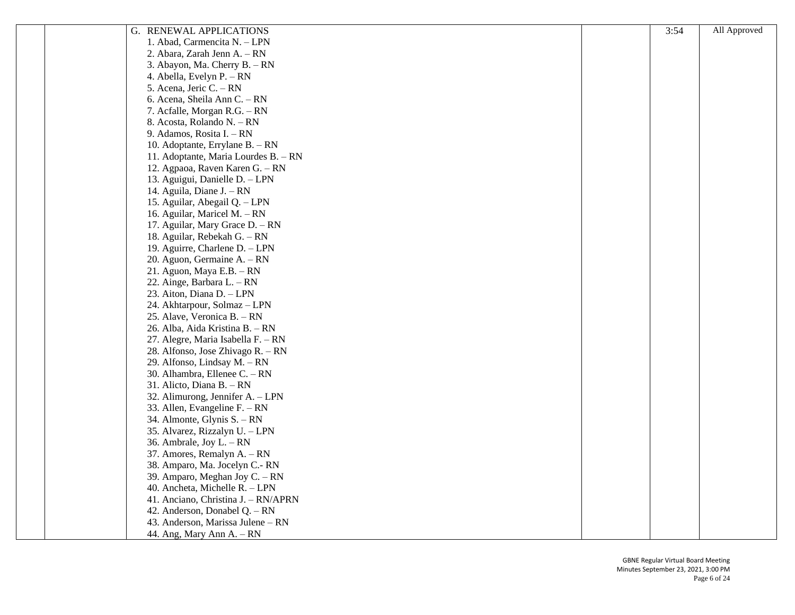| G. RENEWAL APPLICATIONS              | 3:54 | All Approved |
|--------------------------------------|------|--------------|
| 1. Abad, Carmencita N. - LPN         |      |              |
| 2. Abara, Zarah Jenn A. - RN         |      |              |
| 3. Abayon, Ma. Cherry B. - RN        |      |              |
| 4. Abella, Evelyn P. – RN            |      |              |
| 5. Acena, Jeric C. - RN              |      |              |
| 6. Acena, Sheila Ann C. - RN         |      |              |
| 7. Acfalle, Morgan R.G. - RN         |      |              |
| 8. Acosta, Rolando N. – RN           |      |              |
| 9. Adamos, Rosita I. – RN            |      |              |
| 10. Adoptante, Errylane B. - RN      |      |              |
| 11. Adoptante, Maria Lourdes B. - RN |      |              |
| 12. Agpaoa, Raven Karen G. - RN      |      |              |
| 13. Aguigui, Danielle D. - LPN       |      |              |
| 14. Aguila, Diane J. - RN            |      |              |
| 15. Aguilar, Abegail Q. - LPN        |      |              |
| 16. Aguilar, Maricel M. - RN         |      |              |
| 17. Aguilar, Mary Grace D. - RN      |      |              |
| 18. Aguilar, Rebekah G. - RN         |      |              |
| 19. Aguirre, Charlene D. - LPN       |      |              |
| 20. Aguon, Germaine A. – RN          |      |              |
| 21. Aguon, Maya E.B. - RN            |      |              |
| 22. Ainge, Barbara L. – RN           |      |              |
| 23. Aiton, Diana D. - LPN            |      |              |
| 24. Akhtarpour, Solmaz - LPN         |      |              |
| 25. Alave, Veronica B. - RN          |      |              |
| 26. Alba, Aida Kristina B. - RN      |      |              |
| 27. Alegre, Maria Isabella F. - RN   |      |              |
| 28. Alfonso, Jose Zhivago R. – RN    |      |              |
| 29. Alfonso, Lindsay M. - RN         |      |              |
| 30. Alhambra, Ellenee C. - RN        |      |              |
| 31. Alicto, Diana B. - RN            |      |              |
| 32. Alimurong, Jennifer A. - LPN     |      |              |
| 33. Allen, Evangeline $F - RN$       |      |              |
| 34. Almonte, Glynis S. – RN          |      |              |
| 35. Alvarez, Rizzalyn U. - LPN       |      |              |
| 36. Ambrale, Joy $L - RN$            |      |              |
| 37. Amores, Remalyn A. - RN          |      |              |
| 38. Amparo, Ma. Jocelyn C.-RN        |      |              |
| 39. Amparo, Meghan Joy C. - RN       |      |              |
| 40. Ancheta, Michelle R. - LPN       |      |              |
| 41. Anciano, Christina J. - RN/APRN  |      |              |
| 42. Anderson, Donabel Q. - RN        |      |              |
| 43. Anderson, Marissa Julene – RN    |      |              |
| 44. Ang, Mary Ann A. - RN            |      |              |
|                                      |      |              |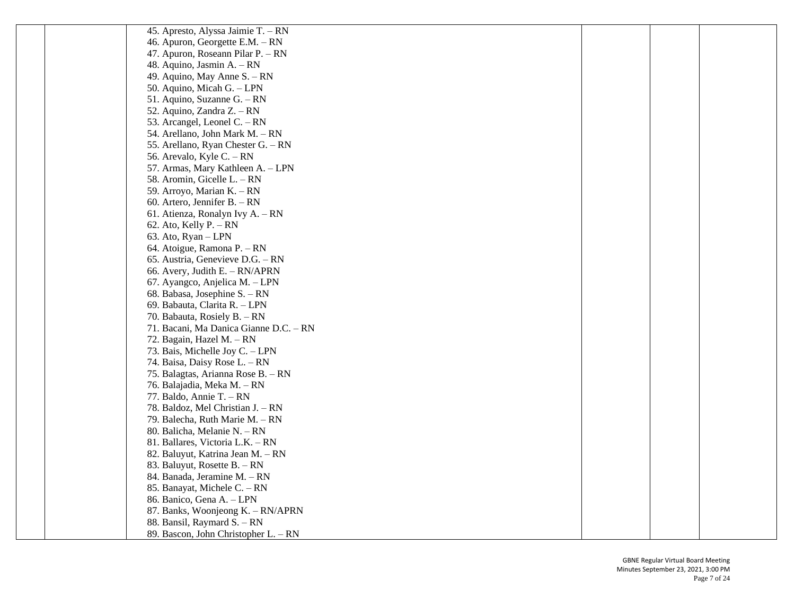| 45. Apresto, Alyssa Jaimie T. – RN     |  |  |
|----------------------------------------|--|--|
| 46. Apuron, Georgette E.M. - RN        |  |  |
| 47. Apuron, Roseann Pilar P. - RN      |  |  |
| 48. Aquino, Jasmin A. – RN             |  |  |
| 49. Aquino, May Anne S. - RN           |  |  |
| 50. Aquino, Micah G. - LPN             |  |  |
| 51. Aquino, Suzanne G. - RN            |  |  |
| 52. Aquino, Zandra Z. – RN             |  |  |
| 53. Arcangel, Leonel C. - RN           |  |  |
| 54. Arellano, John Mark M. - RN        |  |  |
| 55. Arellano, Ryan Chester G. - RN     |  |  |
| 56. Arevalo, Kyle C. – RN              |  |  |
| 57. Armas, Mary Kathleen A. - LPN      |  |  |
| 58. Aromin, Gicelle L. – RN            |  |  |
| 59. Arroyo, Marian K. - RN             |  |  |
| 60. Artero, Jennifer B. $- RN$         |  |  |
| 61. Atienza, Ronalyn Ivy A. - RN       |  |  |
| 62. Ato, Kelly $P. - RN$               |  |  |
| 63. Ato, Ryan – LPN                    |  |  |
| 64. Atoigue, Ramona P. - RN            |  |  |
| 65. Austria, Genevieve D.G. - RN       |  |  |
| 66. Avery, Judith E. $- RN/APRN$       |  |  |
| 67. Ayangco, Anjelica M. – LPN         |  |  |
| 68. Babasa, Josephine S. - RN          |  |  |
| 69. Babauta, Clarita R. - LPN          |  |  |
| 70. Babauta, Rosiely B. - RN           |  |  |
| 71. Bacani, Ma Danica Gianne D.C. - RN |  |  |
| 72. Bagain, Hazel M. - RN              |  |  |
| 73. Bais, Michelle Joy C. - LPN        |  |  |
| 74. Baisa, Daisy Rose L. – RN          |  |  |
| 75. Balagtas, Arianna Rose B. - RN     |  |  |
| 76. Balajadia, Meka M. – RN            |  |  |
| 77. Baldo, Annie T. $- RN$             |  |  |
| 78. Baldoz, Mel Christian J. – RN      |  |  |
| 79. Balecha, Ruth Marie M. - RN        |  |  |
| 80. Balicha, Melanie N. – RN           |  |  |
| 81. Ballares, Victoria L.K. - RN       |  |  |
| 82. Baluyut, Katrina Jean M. - RN      |  |  |
| 83. Baluyut, Rosette B. - RN           |  |  |
| 84. Banada, Jeramine M. - RN           |  |  |
| 85. Banayat, Michele C. - RN           |  |  |
| 86. Banico, Gena A. - LPN              |  |  |
| 87. Banks, Woonjeong K. - RN/APRN      |  |  |
| 88. Bansil, Raymard S. - RN            |  |  |
| 89. Bascon, John Christopher L. - RN   |  |  |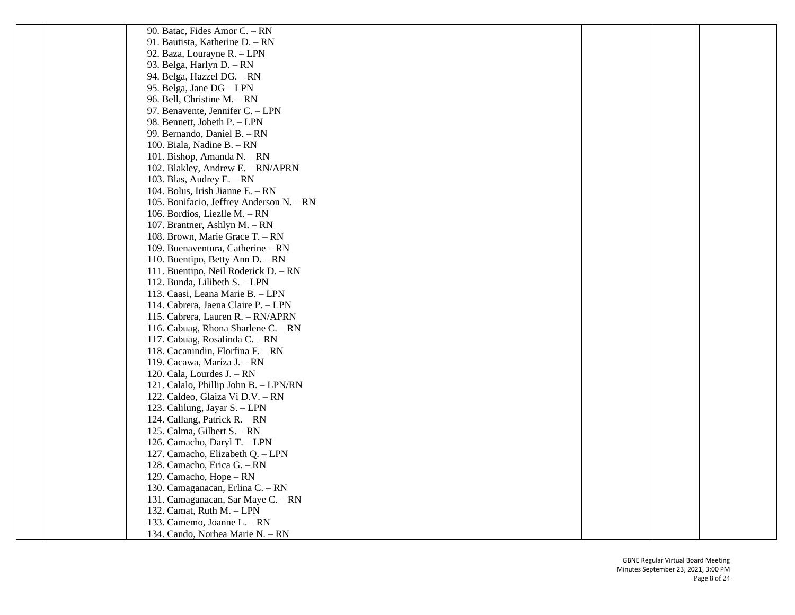| 90. Batac, Fides Amor C. – RN            |  |  |
|------------------------------------------|--|--|
| 91. Bautista, Katherine D. - RN          |  |  |
| 92. Baza, Lourayne R. - LPN              |  |  |
| 93. Belga, Harlyn D. - RN                |  |  |
| 94. Belga, Hazzel DG. - RN               |  |  |
| 95. Belga, Jane DG - LPN                 |  |  |
| 96. Bell, Christine M. – RN              |  |  |
| 97. Benavente, Jennifer C. - LPN         |  |  |
| 98. Bennett, Jobeth P. - LPN             |  |  |
| 99. Bernando, Daniel B. - RN             |  |  |
| 100. Biala, Nadine B. - RN               |  |  |
| 101. Bishop, Amanda N. – RN              |  |  |
| 102. Blakley, Andrew E. - RN/APRN        |  |  |
| 103. Blas, Audrey E. $- RN$              |  |  |
| 104. Bolus, Irish Jianne E. – RN         |  |  |
| 105. Bonifacio, Jeffrey Anderson N. – RN |  |  |
| 106. Bordios, Liezlle M. - RN            |  |  |
| 107. Brantner, Ashlyn M. - RN            |  |  |
| 108. Brown, Marie Grace T. - RN          |  |  |
| 109. Buenaventura, Catherine - RN        |  |  |
| 110. Buentipo, Betty Ann D. - RN         |  |  |
| 111. Buentipo, Neil Roderick D. – RN     |  |  |
| 112. Bunda, Lilibeth S. - LPN            |  |  |
| 113. Caasi, Leana Marie B. - LPN         |  |  |
| 114. Cabrera, Jaena Claire P. - LPN      |  |  |
| 115. Cabrera, Lauren R. - RN/APRN        |  |  |
| 116. Cabuag, Rhona Sharlene C. - RN      |  |  |
| 117. Cabuag, Rosalinda C. - RN           |  |  |
| 118. Cacanindin, Florfina F. - RN        |  |  |
| 119. Cacawa, Mariza J. – RN              |  |  |
| 120. Cala, Lourdes $J. - RN$             |  |  |
| 121. Calalo, Phillip John B. - LPN/RN    |  |  |
| 122. Caldeo, Glaiza Vi D.V. - RN         |  |  |
| 123. Calilung, Jayar S. - LPN            |  |  |
| 124. Callang, Patrick R. – RN            |  |  |
| 125. Calma, Gilbert S. – RN              |  |  |
| 126. Camacho, Daryl T. - LPN             |  |  |
| 127. Camacho, Elizabeth Q. - LPN         |  |  |
| 128. Camacho, Erica G. - RN              |  |  |
| 129. Camacho, Hope - RN                  |  |  |
| 130. Camaganacan, Erlina C. - RN         |  |  |
| 131. Camaganacan, Sar Maye C. - RN       |  |  |
| 132. Camat, Ruth M. - LPN                |  |  |
| 133. Camemo, Joanne L. - RN              |  |  |
| 134. Cando, Norhea Marie N. - RN         |  |  |
|                                          |  |  |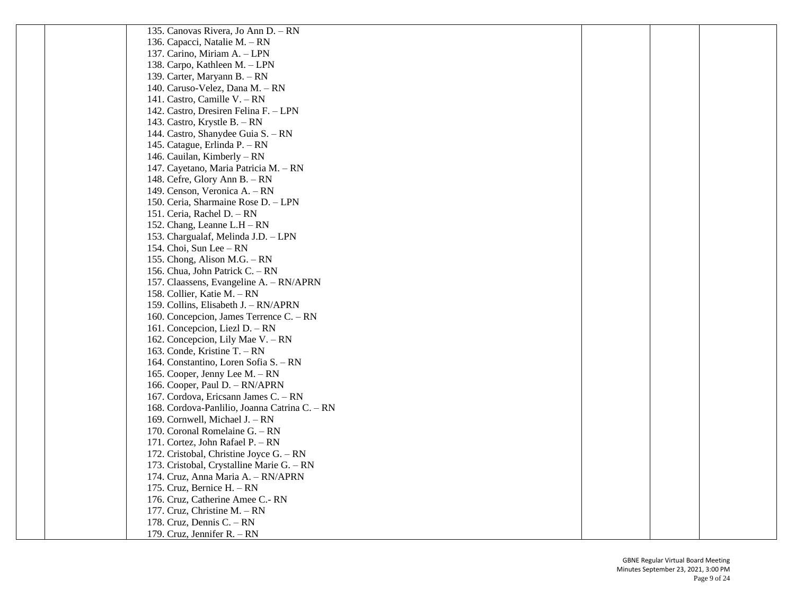| 135. Canovas Rivera, Jo Ann D. - RN           |  |  |
|-----------------------------------------------|--|--|
| 136. Capacci, Natalie M. - RN                 |  |  |
| 137. Carino, Miriam A. - LPN                  |  |  |
| 138. Carpo, Kathleen M. - LPN                 |  |  |
| 139. Carter, Maryann B. - RN                  |  |  |
| 140. Caruso-Velez, Dana M. - RN               |  |  |
| 141. Castro, Camille V. - RN                  |  |  |
| 142. Castro, Dresiren Felina F. - LPN         |  |  |
| 143. Castro, Krystle B. - RN                  |  |  |
| 144. Castro, Shanydee Guia S. - RN            |  |  |
| 145. Catague, Erlinda P. - RN                 |  |  |
| 146. Cauilan, Kimberly – RN                   |  |  |
| 147. Cayetano, Maria Patricia M. - RN         |  |  |
| 148. Cefre, Glory Ann B. - RN                 |  |  |
| 149. Censon, Veronica A. - RN                 |  |  |
| 150. Ceria, Sharmaine Rose D. - LPN           |  |  |
| 151. Ceria, Rachel D. - RN                    |  |  |
| 152. Chang, Leanne L.H – RN                   |  |  |
| 153. Chargualaf, Melinda J.D. - LPN           |  |  |
| 154. Choi, Sun Lee - RN                       |  |  |
| 155. Chong, Alison M.G. – RN                  |  |  |
| 156. Chua, John Patrick C. - RN               |  |  |
| 157. Claassens, Evangeline A. - RN/APRN       |  |  |
| 158. Collier, Katie M. - RN                   |  |  |
| 159. Collins, Elisabeth J. - RN/APRN          |  |  |
| 160. Concepcion, James Terrence C. – RN       |  |  |
| 161. Concepcion, Liezl D. - RN                |  |  |
| 162. Concepcion, Lily Mae V. - RN             |  |  |
| 163. Conde, Kristine T. - RN                  |  |  |
| 164. Constantino, Loren Sofia S. – RN         |  |  |
| 165. Cooper, Jenny Lee M. - RN                |  |  |
| 166. Cooper, Paul D. - RN/APRN                |  |  |
| 167. Cordova, Ericsann James C. - RN          |  |  |
| 168. Cordova-Panlilio, Joanna Catrina C. – RN |  |  |
| 169. Cornwell, Michael J. – RN                |  |  |
| 170. Coronal Romelaine $G - RN$               |  |  |
| 171. Cortez, John Rafael P. - RN              |  |  |
| 172. Cristobal, Christine Joyce G. - RN       |  |  |
| 173. Cristobal, Crystalline Marie G. - RN     |  |  |
| 174. Cruz, Anna Maria A. - RN/APRN            |  |  |
| 175. Cruz, Bernice H. - RN                    |  |  |
| 176. Cruz, Catherine Amee C.- RN              |  |  |
| 177. Cruz, Christine M. - RN                  |  |  |
| 178. Cruz, Dennis C. - RN                     |  |  |
| 179. Cruz, Jennifer R. - RN                   |  |  |
|                                               |  |  |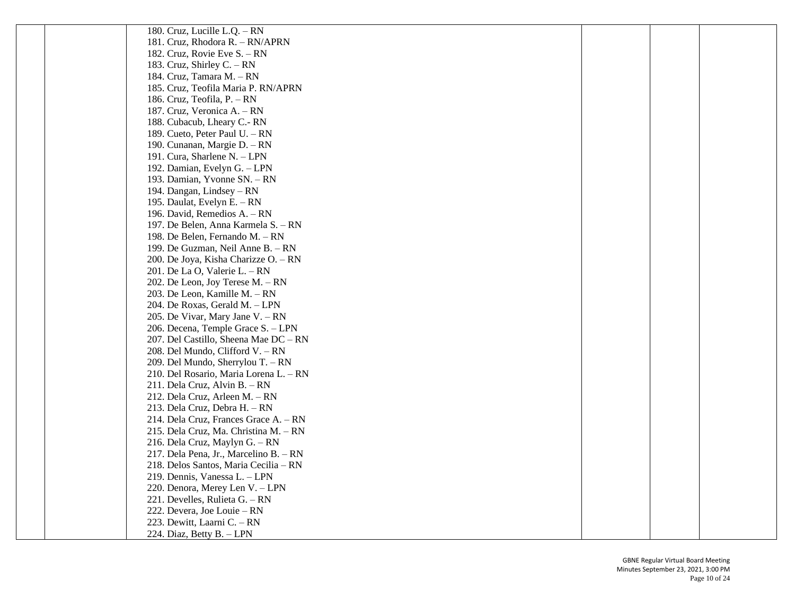| 181. Cruz, Rhodora R. – RN/APRN<br>182. Cruz, Rovie Eve S. - RN<br>183. Cruz, Shirley C. $- RN$<br>184. Cruz, Tamara M. - RN<br>185. Cruz, Teofila Maria P. RN/APRN<br>186. Cruz, Teofila, P. - RN<br>187. Cruz, Veronica A. - RN<br>188. Cubacub, Lheary C.-RN<br>189. Cueto, Peter Paul U. - RN<br>190. Cunanan, Margie D. - RN<br>191. Cura, Sharlene N. - LPN<br>192. Damian, Evelyn G. - LPN<br>193. Damian, Yvonne SN. - RN<br>194. Dangan, Lindsey - RN<br>195. Daulat, Evelyn E. - RN<br>196. David, Remedios A. - RN |  |
|-------------------------------------------------------------------------------------------------------------------------------------------------------------------------------------------------------------------------------------------------------------------------------------------------------------------------------------------------------------------------------------------------------------------------------------------------------------------------------------------------------------------------------|--|
|                                                                                                                                                                                                                                                                                                                                                                                                                                                                                                                               |  |
|                                                                                                                                                                                                                                                                                                                                                                                                                                                                                                                               |  |
|                                                                                                                                                                                                                                                                                                                                                                                                                                                                                                                               |  |
|                                                                                                                                                                                                                                                                                                                                                                                                                                                                                                                               |  |
|                                                                                                                                                                                                                                                                                                                                                                                                                                                                                                                               |  |
|                                                                                                                                                                                                                                                                                                                                                                                                                                                                                                                               |  |
|                                                                                                                                                                                                                                                                                                                                                                                                                                                                                                                               |  |
|                                                                                                                                                                                                                                                                                                                                                                                                                                                                                                                               |  |
|                                                                                                                                                                                                                                                                                                                                                                                                                                                                                                                               |  |
|                                                                                                                                                                                                                                                                                                                                                                                                                                                                                                                               |  |
|                                                                                                                                                                                                                                                                                                                                                                                                                                                                                                                               |  |
|                                                                                                                                                                                                                                                                                                                                                                                                                                                                                                                               |  |
|                                                                                                                                                                                                                                                                                                                                                                                                                                                                                                                               |  |
|                                                                                                                                                                                                                                                                                                                                                                                                                                                                                                                               |  |
|                                                                                                                                                                                                                                                                                                                                                                                                                                                                                                                               |  |
|                                                                                                                                                                                                                                                                                                                                                                                                                                                                                                                               |  |
| 197. De Belen, Anna Karmela S. - RN                                                                                                                                                                                                                                                                                                                                                                                                                                                                                           |  |
| 198. De Belen, Fernando M. - RN                                                                                                                                                                                                                                                                                                                                                                                                                                                                                               |  |
| 199. De Guzman, Neil Anne B. - RN                                                                                                                                                                                                                                                                                                                                                                                                                                                                                             |  |
| 200. De Joya, Kisha Charizze O. - RN                                                                                                                                                                                                                                                                                                                                                                                                                                                                                          |  |
| 201. De La O, Valerie L. - RN                                                                                                                                                                                                                                                                                                                                                                                                                                                                                                 |  |
| 202. De Leon, Joy Terese M. - RN                                                                                                                                                                                                                                                                                                                                                                                                                                                                                              |  |
| 203. De Leon, Kamille M. - RN                                                                                                                                                                                                                                                                                                                                                                                                                                                                                                 |  |
| 204. De Roxas, Gerald M. - LPN                                                                                                                                                                                                                                                                                                                                                                                                                                                                                                |  |
| 205. De Vivar, Mary Jane V. - RN                                                                                                                                                                                                                                                                                                                                                                                                                                                                                              |  |
| 206. Decena, Temple Grace S. - LPN                                                                                                                                                                                                                                                                                                                                                                                                                                                                                            |  |
| 207. Del Castillo, Sheena Mae DC - RN                                                                                                                                                                                                                                                                                                                                                                                                                                                                                         |  |
| 208. Del Mundo, Clifford V. - RN                                                                                                                                                                                                                                                                                                                                                                                                                                                                                              |  |
| 209. Del Mundo, Sherrylou T. – RN                                                                                                                                                                                                                                                                                                                                                                                                                                                                                             |  |
| 210. Del Rosario, Maria Lorena L. - RN                                                                                                                                                                                                                                                                                                                                                                                                                                                                                        |  |
| 211. Dela Cruz, Alvin B. - RN                                                                                                                                                                                                                                                                                                                                                                                                                                                                                                 |  |
| 212. Dela Cruz, Arleen M. - RN                                                                                                                                                                                                                                                                                                                                                                                                                                                                                                |  |
| 213. Dela Cruz, Debra H. - RN                                                                                                                                                                                                                                                                                                                                                                                                                                                                                                 |  |
| 214. Dela Cruz, Frances Grace A. - RN                                                                                                                                                                                                                                                                                                                                                                                                                                                                                         |  |
| 215. Dela Cruz, Ma. Christina M. - RN                                                                                                                                                                                                                                                                                                                                                                                                                                                                                         |  |
| 216. Dela Cruz, Maylyn G. - RN                                                                                                                                                                                                                                                                                                                                                                                                                                                                                                |  |
| 217. Dela Pena, Jr., Marcelino B. - RN                                                                                                                                                                                                                                                                                                                                                                                                                                                                                        |  |
| 218. Delos Santos, Maria Cecilia - RN                                                                                                                                                                                                                                                                                                                                                                                                                                                                                         |  |
| 219. Dennis, Vanessa L. - LPN                                                                                                                                                                                                                                                                                                                                                                                                                                                                                                 |  |
| 220. Denora, Merey Len V. - LPN                                                                                                                                                                                                                                                                                                                                                                                                                                                                                               |  |
| 221. Develles, Rulieta G. - RN                                                                                                                                                                                                                                                                                                                                                                                                                                                                                                |  |
| 222. Devera, Joe Louie - RN                                                                                                                                                                                                                                                                                                                                                                                                                                                                                                   |  |
| 223. Dewitt, Laarni C. - RN                                                                                                                                                                                                                                                                                                                                                                                                                                                                                                   |  |
| 224. Diaz, Betty B. - LPN                                                                                                                                                                                                                                                                                                                                                                                                                                                                                                     |  |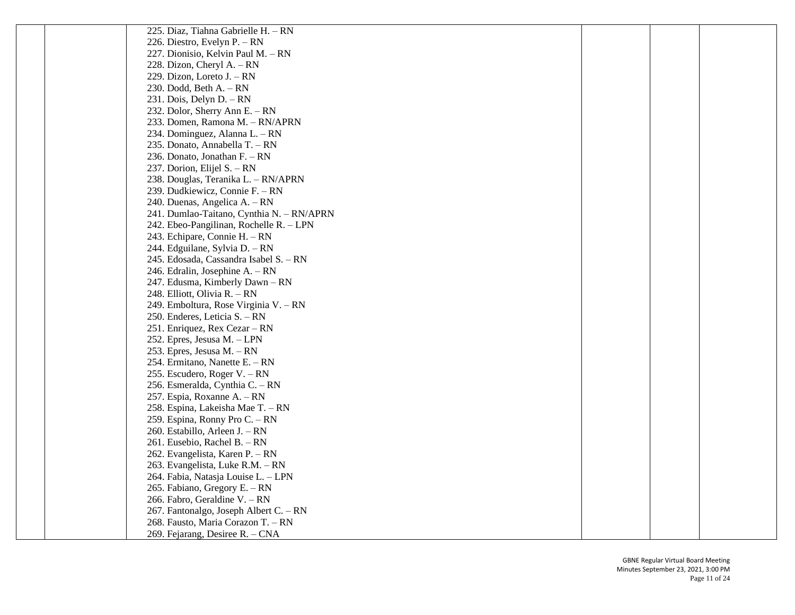| 225. Diaz, Tiahna Gabrielle H. - RN       |  |  |
|-------------------------------------------|--|--|
| 226. Diestro, Evelyn P. – RN              |  |  |
| 227. Dionisio, Kelvin Paul M. - RN        |  |  |
| 228. Dizon, Cheryl A. – RN                |  |  |
| 229. Dizon, Loreto J. – RN                |  |  |
| 230. Dodd, Beth $A - RN$                  |  |  |
| 231. Dois, Delyn D. $- RN$                |  |  |
| 232. Dolor, Sherry Ann E. - RN            |  |  |
| 233. Domen, Ramona M. - RN/APRN           |  |  |
| 234. Dominguez, Alanna L. – RN            |  |  |
| 235. Donato, Annabella T. - RN            |  |  |
| 236. Donato, Jonathan F. - RN             |  |  |
| 237. Dorion, Elijel S. - RN               |  |  |
| 238. Douglas, Teranika L. - RN/APRN       |  |  |
| 239. Dudkiewicz, Connie F. – RN           |  |  |
| 240. Duenas, Angelica A. – RN             |  |  |
| 241. Dumlao-Taitano, Cynthia N. - RN/APRN |  |  |
| 242. Ebeo-Pangilinan, Rochelle R. - LPN   |  |  |
| 243. Echipare, Connie H. - RN             |  |  |
| 244. Edguilane, Sylvia D. - RN            |  |  |
| 245. Edosada, Cassandra Isabel S. – RN    |  |  |
| 246. Edralin, Josephine A. – RN           |  |  |
| 247. Edusma, Kimberly Dawn - RN           |  |  |
| 248. Elliott, Olivia R. – RN              |  |  |
| 249. Emboltura, Rose Virginia V. - RN     |  |  |
| 250. Enderes, Leticia S. – RN             |  |  |
| 251. Enriquez, Rex Cezar – RN             |  |  |
| 252. Epres, Jesusa M. - LPN               |  |  |
| 253. Epres, Jesusa M. – RN                |  |  |
| 254. Ermitano, Nanette E. – RN            |  |  |
| 255. Escudero, Roger V. – RN              |  |  |
| 256. Esmeralda, Cynthia C. - RN           |  |  |
| 257. Espia, Roxanne A. - RN               |  |  |
| 258. Espina, Lakeisha Mae T. - RN         |  |  |
| 259. Espina, Ronny Pro C. – RN            |  |  |
| 260. Estabillo, Arleen J. – RN            |  |  |
| 261. Eusebio, Rachel B. - RN              |  |  |
| 262. Evangelista, Karen P. – RN           |  |  |
| 263. Evangelista, Luke R.M. - RN          |  |  |
| 264. Fabia, Natasja Louise L. - LPN       |  |  |
| 265. Fabiano, Gregory E. - RN             |  |  |
| 266. Fabro, Geraldine V. - RN             |  |  |
| 267. Fantonalgo, Joseph Albert C. - RN    |  |  |
| 268. Fausto, Maria Corazon T. - RN        |  |  |
| 269. Fejarang, Desiree R. - CNA           |  |  |
|                                           |  |  |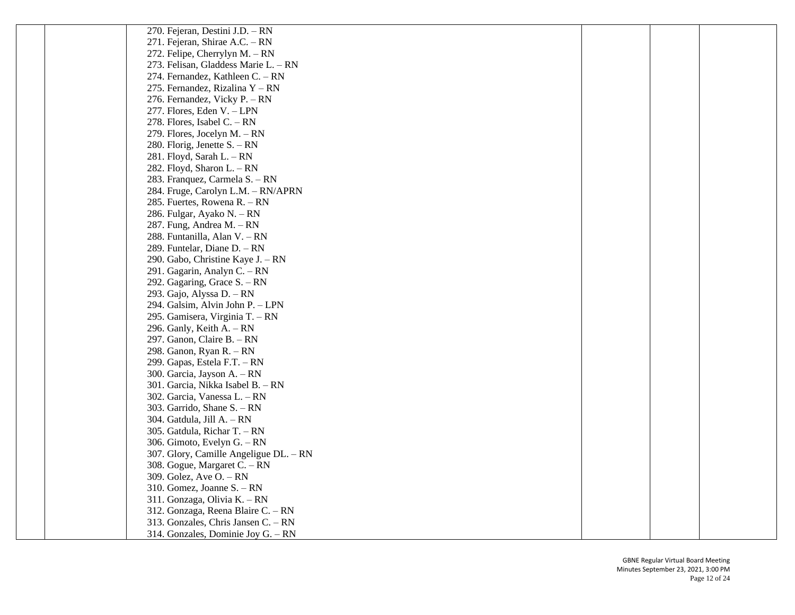| 270. Fejeran, Destini J.D. – RN        |  |  |
|----------------------------------------|--|--|
| 271. Fejeran, Shirae A.C. - RN         |  |  |
| 272. Felipe, Cherrylyn M. - RN         |  |  |
| 273. Felisan, Gladdess Marie L. - RN   |  |  |
| 274. Fernandez, Kathleen C. - RN       |  |  |
| 275. Fernandez, Rizalina Y - RN        |  |  |
| 276. Fernandez, Vicky P. - RN          |  |  |
| 277. Flores, Eden V. - LPN             |  |  |
| 278. Flores, Isabel C. - RN            |  |  |
| 279. Flores, Jocelyn M. - RN           |  |  |
| 280. Florig, Jenette S. - RN           |  |  |
| 281. Floyd, Sarah L. – RN              |  |  |
| 282. Floyd, Sharon L. - RN             |  |  |
| 283. Franquez, Carmela S. - RN         |  |  |
| 284. Fruge, Carolyn L.M. - RN/APRN     |  |  |
| 285. Fuertes, Rowena R. - RN           |  |  |
| 286. Fulgar, Ayako N. – RN             |  |  |
| 287. Fung, Andrea M. - RN              |  |  |
| 288. Funtanilla, Alan V. - RN          |  |  |
| 289. Funtelar, Diane D. - RN           |  |  |
| 290. Gabo, Christine Kaye J. - RN      |  |  |
| 291. Gagarin, Analyn C. - RN           |  |  |
| 292. Gagaring, Grace S. - RN           |  |  |
| 293. Gajo, Alyssa D. - RN              |  |  |
| 294. Galsim, Alvin John P. - LPN       |  |  |
| 295. Gamisera, Virginia T. – RN        |  |  |
| 296. Ganly, Keith $A - RN$             |  |  |
| 297. Ganon, Claire B. - RN             |  |  |
| 298. Ganon, Ryan R. - RN               |  |  |
| 299. Gapas, Estela F.T. - RN           |  |  |
| 300. Garcia, Jayson A. - RN            |  |  |
| 301. Garcia, Nikka Isabel B. - RN      |  |  |
| 302. Garcia, Vanessa L. - RN           |  |  |
| 303. Garrido, Shane $S. - RN$          |  |  |
| 304. Gatdula, Jill A. - RN             |  |  |
| 305. Gatdula, Richar $T - RN$          |  |  |
| 306. Gimoto, Evelyn G. - RN            |  |  |
| 307. Glory, Camille Angeligue DL. - RN |  |  |
| 308. Gogue, Margaret C. - RN           |  |  |
| 309. Golez, Ave $O. - RN$              |  |  |
| 310. Gomez, Joanne S. - RN             |  |  |
| 311. Gonzaga, Olivia K. - RN           |  |  |
| 312. Gonzaga, Reena Blaire C. - RN     |  |  |
| 313. Gonzales, Chris Jansen C. - RN    |  |  |
| 314. Gonzales, Dominie Joy G. - RN     |  |  |
|                                        |  |  |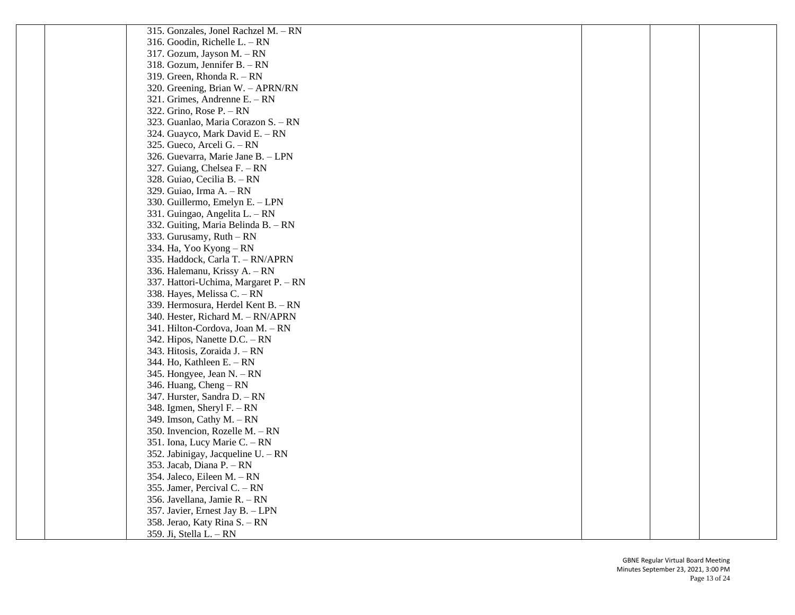315. Gonzales, Jonel Rachzel M. – RN 316. Goodin, Richelle L. – RN 317. Gozum, Jayson M. – RN 318. Gozum, Jennifer B. – RN 319. Green, Rhonda R. – RN 320. Greening, Brian W. – APRN/RN 321. Grimes, Andrenne E. – RN 322. Grino, Rose P. – RN 323. Guanlao, Maria Corazon S. – RN 324. Guayco, Mark David E. – RN 325. Gueco, Arceli G. – RN 326. Guevarra, Marie Jane B. – LPN 327. Guiang, Chelsea F. – RN 328. Guiao, Cecilia B. – RN 329. Guiao, Irma A. – RN 330. Guillermo, Emelyn E. – LPN 331. Guingao, Angelita L. – RN 332. Guiting, Maria Belinda B. – RN 333. Gurusamy, Ruth – RN 334. Ha, Yoo Kyong – RN 335. Haddock, Carla T. – RN/APRN 336. Halemanu, Krissy A. – RN 337. Hattori -Uchima, Margaret P. – RN 338. Hayes, Melissa C. – RN 339. Hermosura, Herdel Kent B. – RN 340. Hester, Richard M. – RN/APRN 341. Hilton -Cordova, Joan M. – RN 342. Hipos, Nanette D.C. – RN 343. Hitosis, Zoraida J. – RN 344. Ho, Kathleen E. – RN 345. Hongyee, Jean N. – RN 346. Huang, Cheng – RN 347. Hurster, Sandra D. – RN 348. Igmen, Sheryl F. – RN 349. Imson, Cathy M. – RN 350. Invencion, Rozelle M. – RN 351. Iona, Lucy Marie C. – RN 352. Jabinigay, Jacqueline U. – RN 353. Jacab, Diana P. – RN 354. Jaleco, Eileen M. – RN 355. Jamer, Percival C. – RN 356. Javellana, Jamie R. – RN 357. Javier, Ernest Jay B. – LPN 358. Jerao, Katy Rina S. – RN 359. Ji, Stella L. – RN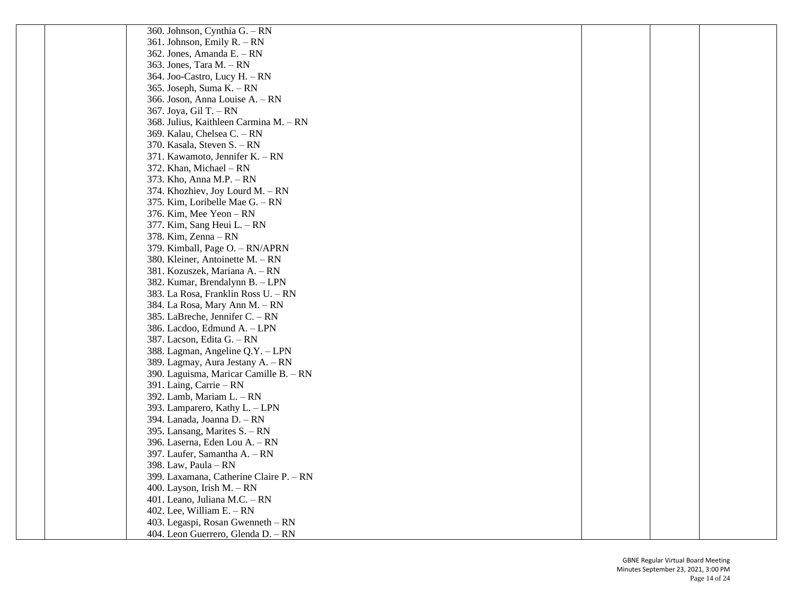| 360. Johnson, Cynthia G. – RN           |  |  |
|-----------------------------------------|--|--|
| 361. Johnson, Emily R. - RN             |  |  |
| 362. Jones, Amanda E. - RN              |  |  |
| 363. Jones, Tara M. $- RN$              |  |  |
| 364. Joo-Castro, Lucy H. - RN           |  |  |
| 365. Joseph, Suma K. - RN               |  |  |
| 366. Joson, Anna Louise A. - RN         |  |  |
| 367. Joya, Gil T. - RN                  |  |  |
| 368. Julius, Kaithleen Carmina M. - RN  |  |  |
| 369. Kalau, Chelsea C. - RN             |  |  |
| 370. Kasala, Steven S. - RN             |  |  |
| 371. Kawamoto, Jennifer K. - RN         |  |  |
| 372. Khan, Michael – RN                 |  |  |
| 373. Kho, Anna M.P. - RN                |  |  |
| 374. Khozhiev, Joy Lourd M. - RN        |  |  |
| 375. Kim, Loribelle Mae G. - RN         |  |  |
| 376. Kim, Mee Yeon - RN                 |  |  |
| 377. Kim, Sang Heui L. – RN             |  |  |
| 378. Kim, Zenna – RN                    |  |  |
| 379. Kimball, Page O. - RN/APRN         |  |  |
| 380. Kleiner, Antoinette M. – RN        |  |  |
| 381. Kozuszek, Mariana A. – RN          |  |  |
| 382. Kumar, Brendalynn B. - LPN         |  |  |
| 383. La Rosa, Franklin Ross U. - RN     |  |  |
| 384. La Rosa, Mary Ann M. - RN          |  |  |
| 385. LaBreche, Jennifer C. - RN         |  |  |
| 386. Lacdoo, Edmund A. - LPN            |  |  |
| 387. Lacson, Edita G. - RN              |  |  |
| 388. Lagman, Angeline Q.Y. - LPN        |  |  |
| 389. Lagmay, Aura Jestany A. - RN       |  |  |
| 390. Laguisma, Maricar Camille B. - RN  |  |  |
| 391. Laing, Carrie – RN                 |  |  |
| 392. Lamb, Mariam L. - RN               |  |  |
| 393. Lamparero, Kathy L. - LPN          |  |  |
| 394. Lanada, Joanna D. - RN             |  |  |
| 395. Lansang, Marites S. – RN           |  |  |
| 396. Laserna, Eden Lou A. - RN          |  |  |
| 397. Laufer, Samantha A. - RN           |  |  |
| 398. Law, Paula $- RN$                  |  |  |
| 399. Laxamana, Catherine Claire P. - RN |  |  |
| 400. Layson, Irish M. $- RN$            |  |  |
| 401. Leano, Juliana M.C. - RN           |  |  |
| 402. Lee, William E. $- RN$             |  |  |
| 403. Legaspi, Rosan Gwenneth - RN       |  |  |
| 404. Leon Guerrero, Glenda D. - RN      |  |  |
|                                         |  |  |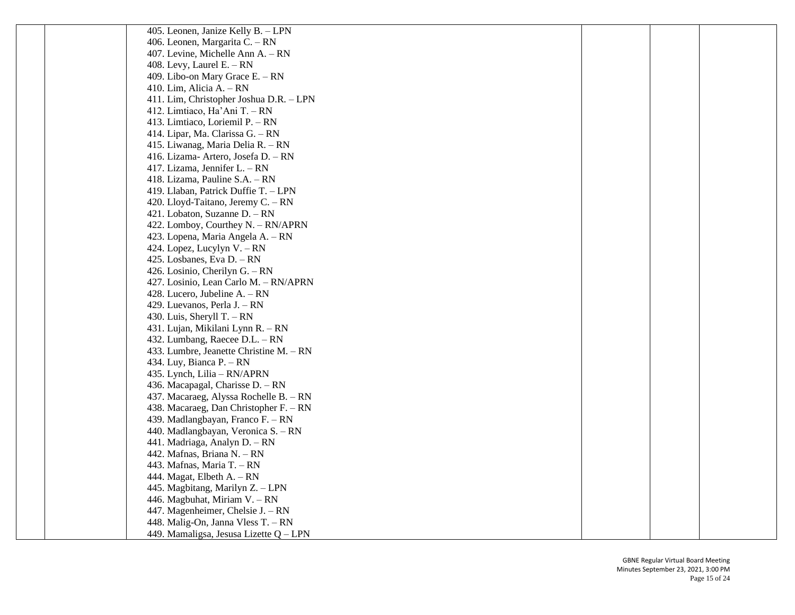| 405. Leonen, Janize Kelly B. - LPN      |  |  |
|-----------------------------------------|--|--|
| 406. Leonen, Margarita C. - RN          |  |  |
| 407. Levine, Michelle Ann A. – RN       |  |  |
| 408. Levy, Laurel E. $- RN$             |  |  |
| 409. Libo-on Mary Grace E. - RN         |  |  |
| 410. Lim, Alicia A. $- RN$              |  |  |
| 411. Lim, Christopher Joshua D.R. - LPN |  |  |
| 412. Limtiaco, Ha'Ani T. - RN           |  |  |
| 413. Limtiaco, Loriemil P. - RN         |  |  |
| 414. Lipar, Ma. Clarissa G. - RN        |  |  |
| 415. Liwanag, Maria Delia R. - RN       |  |  |
| 416. Lizama- Artero, Josefa D. – RN     |  |  |
| 417. Lizama, Jennifer L. – RN           |  |  |
| 418. Lizama, Pauline S.A. - RN          |  |  |
| 419. Llaban, Patrick Duffie T. - LPN    |  |  |
| 420. Lloyd-Taitano, Jeremy C. - RN      |  |  |
| 421. Lobaton, Suzanne D. - RN           |  |  |
| 422. Lomboy, Courthey N. - RN/APRN      |  |  |
| 423. Lopena, Maria Angela A. - RN       |  |  |
| 424. Lopez, Lucylyn V. – RN             |  |  |
| 425. Losbanes, Eva D. - RN              |  |  |
| 426. Losinio, Cherilyn G. - RN          |  |  |
| 427. Losinio, Lean Carlo M. - RN/APRN   |  |  |
| 428. Lucero, Jubeline A. – RN           |  |  |
| 429. Luevanos, Perla J. - RN            |  |  |
| 430. Luis, Sheryll T. $- RN$            |  |  |
| 431. Lujan, Mikilani Lynn R. – RN       |  |  |
| 432. Lumbang, Raecee D.L. - RN          |  |  |
| 433. Lumbre, Jeanette Christine M. – RN |  |  |
| 434. Luy, Bianca P. $- RN$              |  |  |
| 435. Lynch, Lilia – RN/APRN             |  |  |
| 436. Macapagal, Charisse D. - RN        |  |  |
| 437. Macaraeg, Alyssa Rochelle B. - RN  |  |  |
| 438. Macaraeg, Dan Christopher F. – RN  |  |  |
| 439. Madlangbayan, Franco F. - RN       |  |  |
| 440. Madlangbayan, Veronica S. – RN     |  |  |
| 441. Madriaga, Analyn D. - RN           |  |  |
| 442. Mafnas, Briana N. - RN             |  |  |
| 443. Mafnas, Maria T. - RN              |  |  |
| 444. Magat, Elbeth A. - RN              |  |  |
| 445. Magbitang, Marilyn Z. - LPN        |  |  |
| 446. Magbuhat, Miriam V. - RN           |  |  |
| 447. Magenheimer, Chelsie J. - RN       |  |  |
| 448. Malig-On, Janna Vless T. - RN      |  |  |
| 449. Mamaligsa, Jesusa Lizette Q - LPN  |  |  |
|                                         |  |  |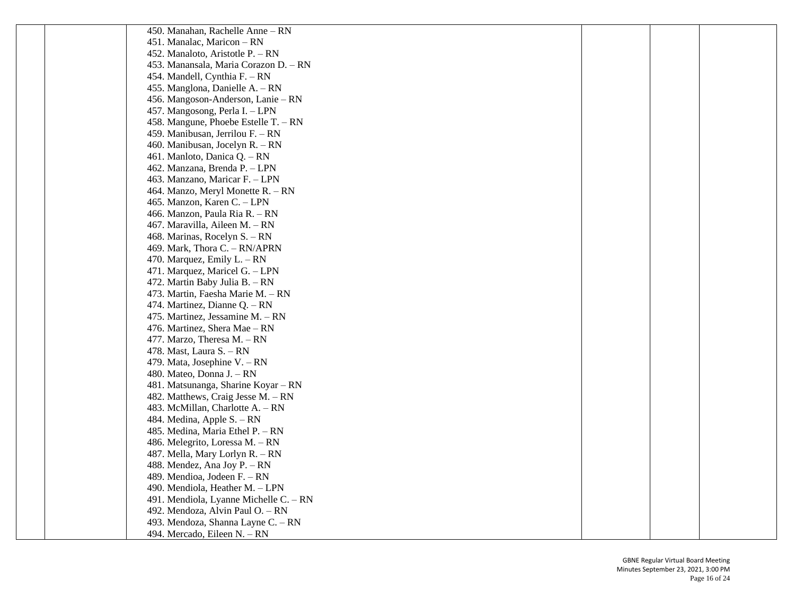450. Manahan, Rachelle Anne – RN 451. Manalac, Maricon – RN 452. Manaloto, Aristotle P. – RN 453. Manansala, Maria Corazon D. – RN 454. Mandell, Cynthia F. – RN 455. Manglona, Danielle A. – RN 456. Mangoson -Anderson, Lanie – RN 457. Mangosong, Perla I. – LPN 458. Mangune, Phoebe Estelle T. – RN 459. Manibusan, Jerrilou F. – RN 460. Manibusan, Jocelyn R. – RN 461. Manloto, Danica Q. – RN 462. Manzana, Brenda P. – LPN 463. Manzano, Maricar F. – LPN 464. Manzo, Meryl Monette R. – RN 465. Manzon, Karen C. – LPN 466. Manzon, Paula Ria R. – RN 467. Maravilla, Aileen M. – RN 468. Marinas, Rocelyn S. – RN 469. Mark, Thora C. – RN/APRN 470. Marquez, Emily L. – RN 471. Marquez, Maricel G. – LPN 472. Martin Baby Julia B. – RN 473. Martin, Faesha Marie M. – RN 474. Martinez, Dianne Q. – RN 475. Martinez, Jessamine M. – RN 476. Martinez, Shera Mae – RN 477. Marzo, Theresa M. – RN 478. Mast, Laura S. – RN 479. Mata, Josephine V. – RN 480. Mateo, Donna J. – RN 481. Matsunanga, Sharine Koyar – RN 482. Matthews, Craig Jesse M. – RN 483. McMillan, Charlotte A. – RN 484. Medina, Apple S. – RN 485. Medina, Maria Ethel P. – RN 486. Melegrito, Loressa M. – RN 487. Mella, Mary Lorlyn R. – RN 488. Mendez, Ana Joy P. – RN 489. Mendioa, Jodeen F. – RN 490. Mendiola, Heather M. – LPN 491. Mendiola, Lyanne Michelle C. – RN 492. Mendoza, Alvin Paul O. – RN 493. Mendoza, Shanna Layne C. – RN 494. Mercado, Eileen N. – RN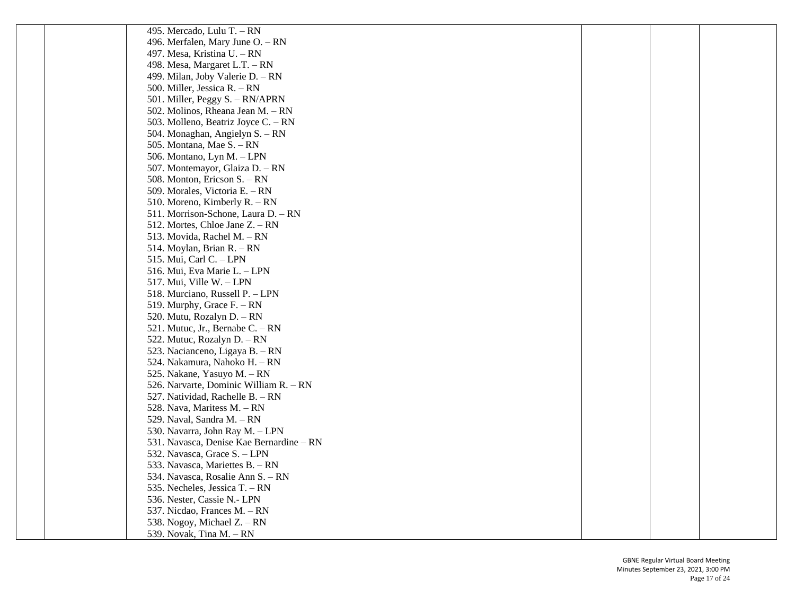| 495. Mercado, Lulu T. – RN               |  |  |
|------------------------------------------|--|--|
| 496. Merfalen, Mary June O. - RN         |  |  |
| 497. Mesa, Kristina U. – RN              |  |  |
| 498. Mesa, Margaret L.T. - RN            |  |  |
| 499. Milan, Joby Valerie D. - RN         |  |  |
| 500. Miller, Jessica R. – RN             |  |  |
| 501. Miller, Peggy S. - RN/APRN          |  |  |
| 502. Molinos, Rheana Jean M. – RN        |  |  |
| 503. Molleno, Beatriz Joyce C. - RN      |  |  |
| 504. Monaghan, Angielyn S. - RN          |  |  |
| 505. Montana, Mae S. – RN                |  |  |
| 506. Montano, Lyn M. - LPN               |  |  |
| 507. Montemayor, Glaiza D. - RN          |  |  |
| 508. Monton, Ericson S. - RN             |  |  |
| 509. Morales, Victoria E. - RN           |  |  |
| 510. Moreno, Kimberly R. – RN            |  |  |
| 511. Morrison-Schone, Laura D. - RN      |  |  |
| 512. Mortes, Chloe Jane Z. – RN          |  |  |
| 513. Movida, Rachel M. - RN              |  |  |
| 514. Moylan, Brian R. - RN               |  |  |
| 515. Mui, Carl C. - LPN                  |  |  |
| 516. Mui, Eva Marie L. - LPN             |  |  |
| 517. Mui, Ville W. - LPN                 |  |  |
| 518. Murciano, Russell P. - LPN          |  |  |
| 519. Murphy, Grace F. - RN               |  |  |
| 520. Mutu, Rozalyn D. – RN               |  |  |
| 521. Mutuc, Jr., Bernabe C. – RN         |  |  |
| 522. Mutuc, Rozalyn D. - RN              |  |  |
| 523. Nacianceno, Ligaya B. - RN          |  |  |
| 524. Nakamura, Nahoko H. – RN            |  |  |
| 525. Nakane, Yasuyo M. - RN              |  |  |
| 526. Narvarte, Dominic William R. - RN   |  |  |
| 527. Natividad, Rachelle B. - RN         |  |  |
| 528. Nava, Maritess M. - RN              |  |  |
| 529. Naval, Sandra M. - RN               |  |  |
| 530. Navarra, John Ray M. – LPN          |  |  |
| 531. Navasca, Denise Kae Bernardine - RN |  |  |
| 532. Navasca, Grace S. - LPN             |  |  |
| 533. Navasca, Mariettes B. - RN          |  |  |
| 534. Navasca, Rosalie Ann S. - RN        |  |  |
| 535. Necheles, Jessica T. – RN           |  |  |
| 536. Nester, Cassie N.- LPN              |  |  |
| 537. Nicdao, Frances M. - RN             |  |  |
| 538. Nogoy, Michael Z. – RN              |  |  |
| 539. Novak, Tina M. - RN                 |  |  |
|                                          |  |  |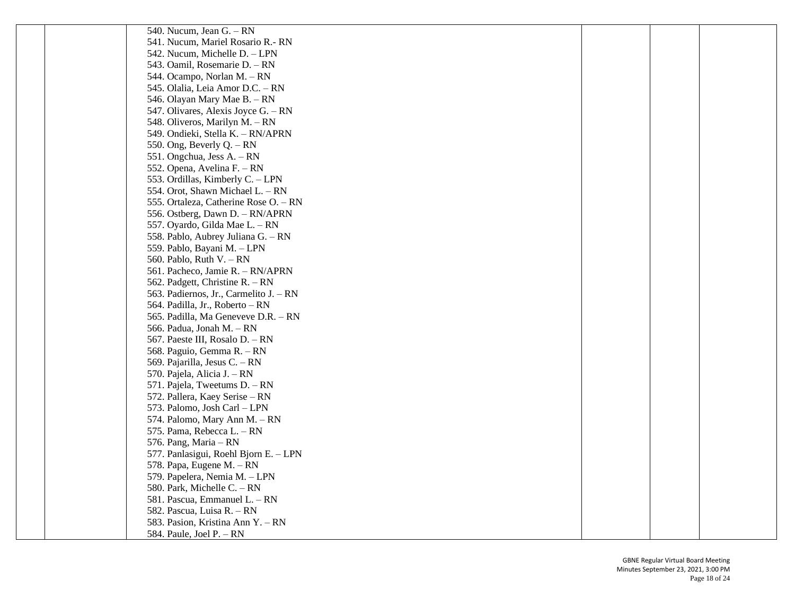| 540. Nucum, Jean G. - RN               |  |  |
|----------------------------------------|--|--|
| 541. Nucum, Mariel Rosario R.- RN      |  |  |
| 542. Nucum, Michelle D. - LPN          |  |  |
| 543. Oamil, Rosemarie D. - RN          |  |  |
| 544. Ocampo, Norlan M. - RN            |  |  |
| 545. Olalia, Leia Amor D.C. - RN       |  |  |
| 546. Olayan Mary Mae B. - RN           |  |  |
| 547. Olivares, Alexis Joyce G. - RN    |  |  |
| 548. Oliveros, Marilyn M. - RN         |  |  |
| 549. Ondieki, Stella K. - RN/APRN      |  |  |
| 550. Ong, Beverly $Q - RN$             |  |  |
| 551. Ongchua, Jess A. – RN             |  |  |
| 552. Opena, Avelina F. – RN            |  |  |
| 553. Ordillas, Kimberly C. - LPN       |  |  |
| 554. Orot, Shawn Michael L. - RN       |  |  |
| 555. Ortaleza, Catherine Rose O. - RN  |  |  |
| 556. Ostberg, Dawn D. - RN/APRN        |  |  |
| 557. Oyardo, Gilda Mae L. - RN         |  |  |
| 558. Pablo, Aubrey Juliana G. – RN     |  |  |
| 559. Pablo, Bayani M. - LPN            |  |  |
| 560. Pablo, Ruth $V. - RN$             |  |  |
| 561. Pacheco, Jamie R. - RN/APRN       |  |  |
| 562. Padgett, Christine R. - RN        |  |  |
| 563. Padiernos, Jr., Carmelito J. – RN |  |  |
| 564. Padilla, Jr., Roberto - RN        |  |  |
| 565. Padilla, Ma Geneveve D.R. - RN    |  |  |
| 566. Padua, Jonah M. - RN              |  |  |
| 567. Paeste III, Rosalo D. - RN        |  |  |
| 568. Paguio, Gemma R. - RN             |  |  |
| 569. Pajarilla, Jesus C. – RN          |  |  |
| 570. Pajela, Alicia J. - RN            |  |  |
| 571. Pajela, Tweetums D. - RN          |  |  |
| 572. Pallera, Kaey Serise – RN         |  |  |
| 573. Palomo, Josh Carl - LPN           |  |  |
| 574. Palomo, Mary Ann M. - RN          |  |  |
| 575. Pama, Rebecca L. – RN             |  |  |
| 576. Pang, Maria - RN                  |  |  |
| 577. Panlasigui, Roehl Bjorn E. - LPN  |  |  |
| 578. Papa, Eugene M. - RN              |  |  |
| 579. Papelera, Nemia M. - LPN          |  |  |
| 580. Park, Michelle C. - RN            |  |  |
| 581. Pascua, Emmanuel L. - RN          |  |  |
| 582. Pascua, Luisa R. - RN             |  |  |
| 583. Pasion, Kristina Ann Y. - RN      |  |  |
| 584. Paule, Joel P. - RN               |  |  |
|                                        |  |  |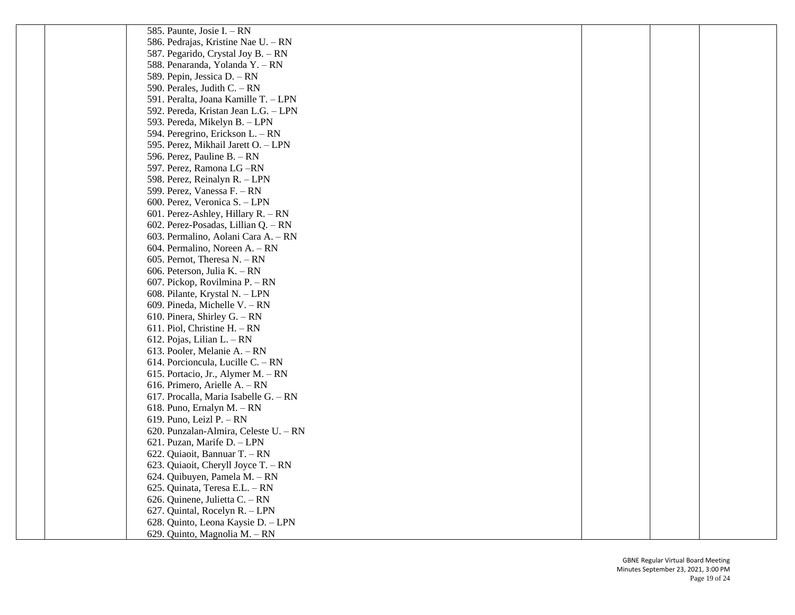| 585. Paunte, Josie I. – RN            |  |  |
|---------------------------------------|--|--|
| 586. Pedrajas, Kristine Nae U. – RN   |  |  |
| 587. Pegarido, Crystal Joy B. - RN    |  |  |
| 588. Penaranda, Yolanda Y. - RN       |  |  |
| 589. Pepin, Jessica D. - RN           |  |  |
| 590. Perales, Judith C. - RN          |  |  |
| 591. Peralta, Joana Kamille T. - LPN  |  |  |
| 592. Pereda, Kristan Jean L.G. - LPN  |  |  |
| 593. Pereda, Mikelyn B. - LPN         |  |  |
| 594. Peregrino, Erickson L. - RN      |  |  |
| 595. Perez, Mikhail Jarett O. - LPN   |  |  |
| 596. Perez, Pauline B. - RN           |  |  |
| 597. Perez, Ramona LG-RN              |  |  |
| 598. Perez, Reinalyn R. - LPN         |  |  |
| 599. Perez, Vanessa F. - RN           |  |  |
| 600. Perez, Veronica S. - LPN         |  |  |
| 601. Perez-Ashley, Hillary R. - RN    |  |  |
| 602. Perez-Posadas, Lillian Q. - RN   |  |  |
| 603. Permalino, Aolani Cara A. - RN   |  |  |
| 604. Permalino, Noreen A. - RN        |  |  |
| 605. Pernot, Theresa N. - RN          |  |  |
| 606. Peterson, Julia K. – RN          |  |  |
| 607. Pickop, Rovilmina P. - RN        |  |  |
| 608. Pilante, Krystal N. - LPN        |  |  |
| 609. Pineda, Michelle V. - RN         |  |  |
| 610. Pinera, Shirley G. $- RN$        |  |  |
| 611. Piol, Christine $H - RN$         |  |  |
| 612. Pojas, Lilian L. - RN            |  |  |
| 613. Pooler, Melanie A. – RN          |  |  |
| 614. Porcioncula, Lucille C. - RN     |  |  |
| 615. Portacio, Jr., Alymer M. – RN    |  |  |
| 616. Primero, Arielle A. - RN         |  |  |
| 617. Procalla, Maria Isabelle G. - RN |  |  |
| 618. Puno, Ernalyn M. - RN            |  |  |
| 619. Puno, Leizl P. $- RN$            |  |  |
| 620. Punzalan-Almira, Celeste U. – RN |  |  |
| 621. Puzan, Marife D. - LPN           |  |  |
| 622. Quiaoit, Bannuar T. - RN         |  |  |
| 623. Quiaoit, Cheryll Joyce T. - RN   |  |  |
| 624. Quibuyen, Pamela M. - RN         |  |  |
| 625. Quinata, Teresa E.L. - RN        |  |  |
| 626. Quinene, Julietta C. - RN        |  |  |
| 627. Quintal, Rocelyn R. - LPN        |  |  |
| 628. Quinto, Leona Kaysie D. - LPN    |  |  |
| 629. Quinto, Magnolia M. - RN         |  |  |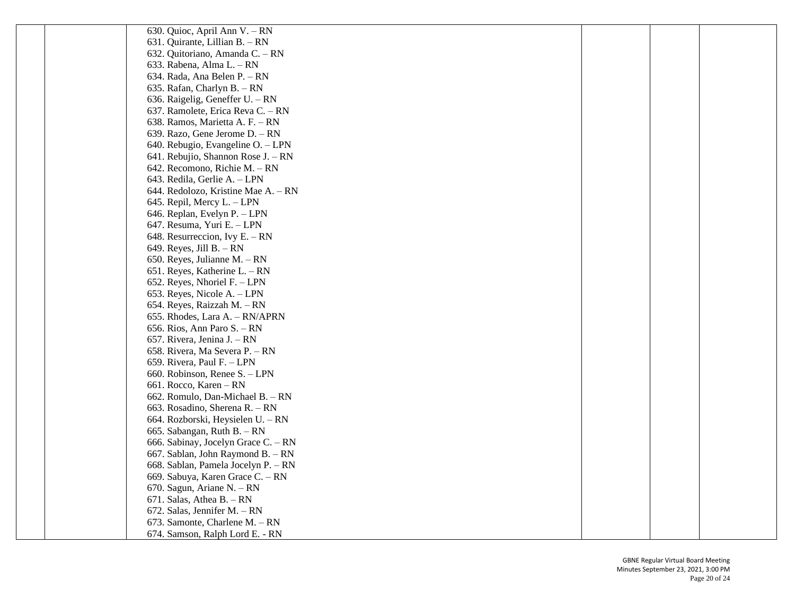| 630. Quioc, April Ann V. – RN       |  |  |
|-------------------------------------|--|--|
| 631. Quirante, Lillian B. - RN      |  |  |
| 632. Quitoriano, Amanda C. - RN     |  |  |
| 633. Rabena, Alma L. - RN           |  |  |
| 634. Rada, Ana Belen P. - RN        |  |  |
| 635. Rafan, Charlyn B. - RN         |  |  |
| 636. Raigelig, Geneffer U. - RN     |  |  |
| 637. Ramolete, Erica Reva C. - RN   |  |  |
| 638. Ramos, Marietta A. F. - RN     |  |  |
| 639. Razo, Gene Jerome D. - RN      |  |  |
| 640. Rebugio, Evangeline O. - LPN   |  |  |
| 641. Rebujio, Shannon Rose J. - RN  |  |  |
| 642. Recomono, Richie M. - RN       |  |  |
| 643. Redila, Gerlie A. - LPN        |  |  |
| 644. Redolozo, Kristine Mae A. – RN |  |  |
| 645. Repil, Mercy L. - LPN          |  |  |
| 646. Replan, Evelyn P. - LPN        |  |  |
| 647. Resuma, Yuri E. - LPN          |  |  |
| 648. Resurreccion, Ivy E. $-$ RN    |  |  |
| 649. Reyes, Jill B. $-$ RN          |  |  |
| 650. Reyes, Julianne M. - RN        |  |  |
| 651. Reyes, Katherine L. – RN       |  |  |
| 652. Reyes, Nhoriel F. - LPN        |  |  |
| 653. Reyes, Nicole A. - LPN         |  |  |
| 654. Reyes, Raizzah M. - RN         |  |  |
| 655. Rhodes, Lara A. - RN/APRN      |  |  |
| 656. Rios, Ann Paro S. – RN         |  |  |
| 657. Rivera, Jenina J. – RN         |  |  |
| 658. Rivera, Ma Severa P. - RN      |  |  |
| 659. Rivera, Paul F. - LPN          |  |  |
| 660. Robinson, Renee S. - LPN       |  |  |
| 661. Rocco, Karen - RN              |  |  |
| 662. Romulo, Dan-Michael B. - RN    |  |  |
| 663. Rosadino, Sherena R. - RN      |  |  |
| 664. Rozborski, Heysielen U. – RN   |  |  |
| 665. Sabangan, Ruth B. $-$ RN       |  |  |
| 666. Sabinay, Jocelyn Grace C. - RN |  |  |
| 667. Sablan, John Raymond B. - RN   |  |  |
| 668. Sablan, Pamela Jocelyn P. - RN |  |  |
| 669. Sabuya, Karen Grace C. - RN    |  |  |
| 670. Sagun, Ariane N. - RN          |  |  |
| 671. Salas, Athea B. $- RN$         |  |  |
| 672. Salas, Jennifer M. - RN        |  |  |
| 673. Samonte, Charlene M. - RN      |  |  |
| 674. Samson, Ralph Lord E. - RN     |  |  |
|                                     |  |  |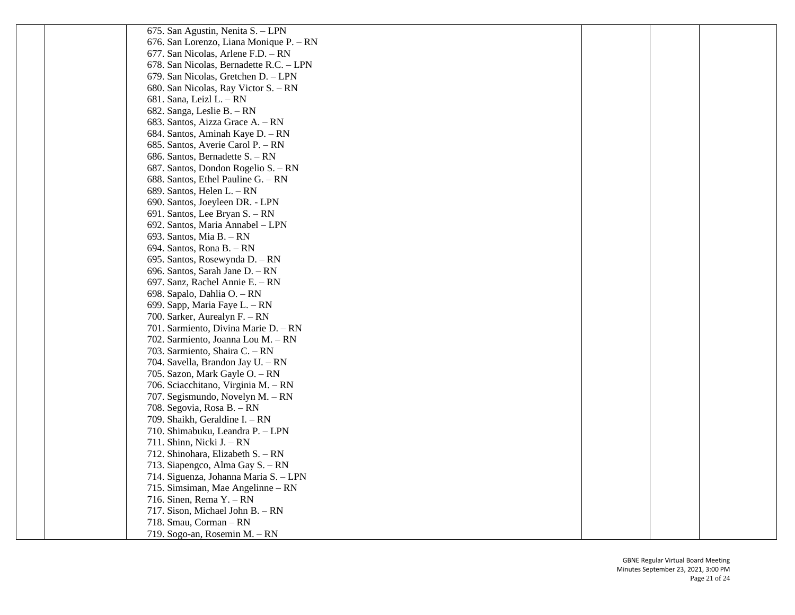| 675. San Agustin, Nenita S. - LPN       |  |  |
|-----------------------------------------|--|--|
| 676. San Lorenzo, Liana Monique P. - RN |  |  |
| 677. San Nicolas, Arlene F.D. - RN      |  |  |
| 678. San Nicolas, Bernadette R.C. - LPN |  |  |
| 679. San Nicolas, Gretchen D. - LPN     |  |  |
| 680. San Nicolas, Ray Victor S. - RN    |  |  |
| 681. Sana, Leizl L. - RN                |  |  |
| 682. Sanga, Leslie B. - RN              |  |  |
| 683. Santos, Aizza Grace A. – RN        |  |  |
| 684. Santos, Aminah Kaye D. - RN        |  |  |
| 685. Santos, Averie Carol P. - RN       |  |  |
| 686. Santos, Bernadette S. - RN         |  |  |
| 687. Santos, Dondon Rogelio S. – RN     |  |  |
| 688. Santos, Ethel Pauline G. - RN      |  |  |
| 689. Santos, Helen L. – RN              |  |  |
| 690. Santos, Joeyleen DR. - LPN         |  |  |
| 691. Santos, Lee Bryan S. - RN          |  |  |
| 692. Santos, Maria Annabel - LPN        |  |  |
| 693. Santos, Mia B. - RN                |  |  |
| 694. Santos, Rona B. - RN               |  |  |
| 695. Santos, Rosewynda D. - RN          |  |  |
| 696. Santos, Sarah Jane D. - RN         |  |  |
| 697. Sanz, Rachel Annie E. - RN         |  |  |
| 698. Sapalo, Dahlia O. - RN             |  |  |
| 699. Sapp, Maria Faye L. - RN           |  |  |
| 700. Sarker, Aurealyn F. - RN           |  |  |
| 701. Sarmiento, Divina Marie D. - RN    |  |  |
| 702. Sarmiento, Joanna Lou M. - RN      |  |  |
| 703. Sarmiento, Shaira C. - RN          |  |  |
| 704. Savella, Brandon Jay U. - RN       |  |  |
| 705. Sazon, Mark Gayle O. - RN          |  |  |
| 706. Sciacchitano, Virginia M. - RN     |  |  |
| 707. Segismundo, Novelyn M. - RN        |  |  |
| 708. Segovia, Rosa B. - RN              |  |  |
| 709. Shaikh, Geraldine I. - RN          |  |  |
| 710. Shimabuku, Leandra P. - LPN        |  |  |
| 711. Shinn, Nicki J. - RN               |  |  |
| 712. Shinohara, Elizabeth S. - RN       |  |  |
| 713. Siapengco, Alma Gay S. - RN        |  |  |
| 714. Siguenza, Johanna Maria S. - LPN   |  |  |
| 715. Simsiman, Mae Angelinne - RN       |  |  |
| 716. Sinen, Rema $Y - RN$               |  |  |
| 717. Sison, Michael John B. - RN        |  |  |
| 718. Smau, Corman - RN                  |  |  |
| 719. Sogo-an, Rosemin M. - RN           |  |  |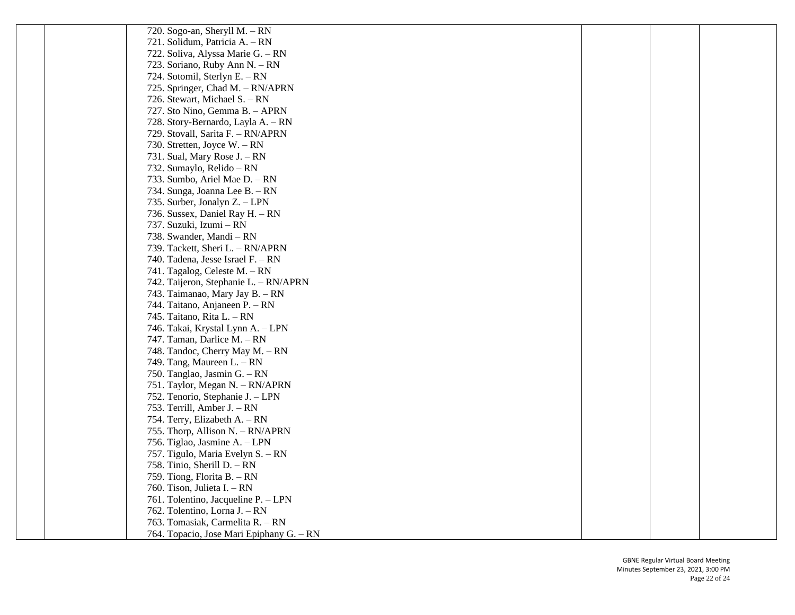| 720. Sogo-an, Sheryll M. $- RN$          |  |  |
|------------------------------------------|--|--|
| 721. Solidum, Patricia A. - RN           |  |  |
| 722. Soliva, Alyssa Marie G. - RN        |  |  |
| 723. Soriano, Ruby Ann N. - RN           |  |  |
| 724. Sotomil, Sterlyn E. - RN            |  |  |
| 725. Springer, Chad M. - RN/APRN         |  |  |
| 726. Stewart, Michael S. - RN            |  |  |
| 727. Sto Nino, Gemma B. - APRN           |  |  |
| 728. Story-Bernardo, Layla A. - RN       |  |  |
| 729. Stovall, Sarita F. - RN/APRN        |  |  |
| 730. Stretten, Joyce W. - RN             |  |  |
| 731. Sual, Mary Rose J. – RN             |  |  |
| 732. Sumaylo, Relido – RN                |  |  |
| 733. Sumbo, Ariel Mae D. - RN            |  |  |
| 734. Sunga, Joanna Lee B. - RN           |  |  |
| 735. Surber, Jonalyn Z. – LPN            |  |  |
| 736. Sussex, Daniel Ray H. - RN          |  |  |
| 737. Suzuki, Izumi – RN                  |  |  |
| 738. Swander, Mandi - RN                 |  |  |
| 739. Tackett, Sheri L. - RN/APRN         |  |  |
| 740. Tadena, Jesse Israel F. - RN        |  |  |
| 741. Tagalog, Celeste M. - RN            |  |  |
| 742. Taijeron, Stephanie L. - RN/APRN    |  |  |
| 743. Taimanao, Mary Jay B. - RN          |  |  |
| 744. Taitano, Anjaneen P. - RN           |  |  |
| 745. Taitano, Rita L. - RN               |  |  |
| 746. Takai, Krystal Lynn A. - LPN        |  |  |
| 747. Taman, Darlice M. - RN              |  |  |
| 748. Tandoc, Cherry May M. - RN          |  |  |
| 749. Tang, Maureen L. – RN               |  |  |
| 750. Tanglao, Jasmin G. - RN             |  |  |
| 751. Taylor, Megan N. - RN/APRN          |  |  |
| 752. Tenorio, Stephanie J. - LPN         |  |  |
| 753. Terrill, Amber J. – RN              |  |  |
| 754. Terry, Elizabeth A. – RN            |  |  |
| 755. Thorp, Allison N. - RN/APRN         |  |  |
| 756. Tiglao, Jasmine A. - LPN            |  |  |
| 757. Tigulo, Maria Evelyn S. - RN        |  |  |
| 758. Tinio, Sherill D. $- RN$            |  |  |
| 759. Tiong, Florita B. - RN              |  |  |
| 760. Tison, Julieta I. – RN              |  |  |
| 761. Tolentino, Jacqueline P. - LPN      |  |  |
| 762. Tolentino, Lorna J. - RN            |  |  |
| 763. Tomasiak, Carmelita R. - RN         |  |  |
| 764. Topacio, Jose Mari Epiphany G. - RN |  |  |
|                                          |  |  |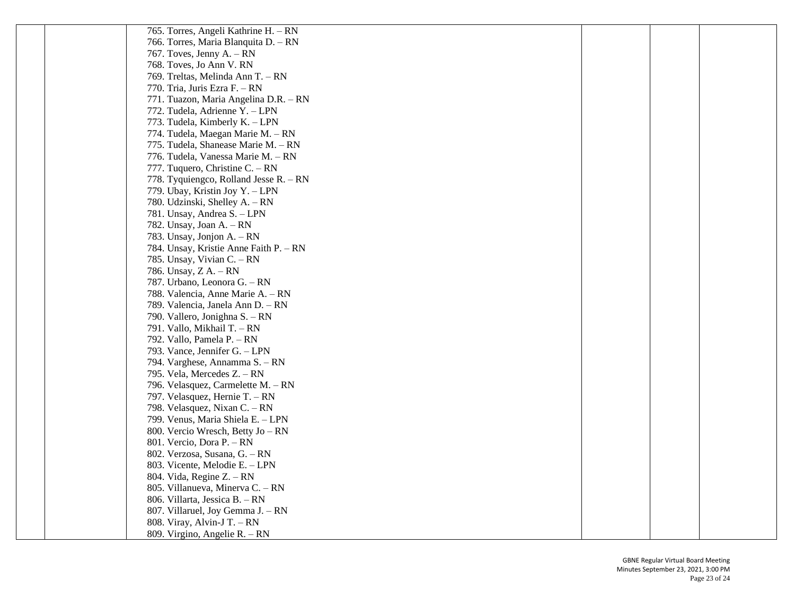| 765. Torres, Angeli Kathrine H. – RN   |  |  |
|----------------------------------------|--|--|
| 766. Torres, Maria Blanquita D. - RN   |  |  |
| 767. Toves, Jenny A. $- RN$            |  |  |
| 768. Toves, Jo Ann V. RN               |  |  |
| 769. Treltas, Melinda Ann T. - RN      |  |  |
| 770. Tria, Juris Ezra F. - RN          |  |  |
| 771. Tuazon, Maria Angelina D.R. - RN  |  |  |
| 772. Tudela, Adrienne Y. - LPN         |  |  |
| 773. Tudela, Kimberly K. - LPN         |  |  |
| 774. Tudela, Maegan Marie M. - RN      |  |  |
| 775. Tudela, Shanease Marie M. - RN    |  |  |
| 776. Tudela, Vanessa Marie M. - RN     |  |  |
| 777. Tuquero, Christine C. $- RN$      |  |  |
| 778. Tyquiengco, Rolland Jesse R. – RN |  |  |
| 779. Ubay, Kristin Joy Y. - LPN        |  |  |
| 780. Udzinski, Shelley A. - RN         |  |  |
| 781. Unsay, Andrea S. - LPN            |  |  |
| 782. Unsay, Joan A. $- RN$             |  |  |
| 783. Unsay, Jonjon A. – RN             |  |  |
| 784. Unsay, Kristie Anne Faith P. - RN |  |  |
| 785. Unsay, Vivian C. – RN             |  |  |
| 786. Unsay, Z A. – RN                  |  |  |
| 787. Urbano, Leonora G. - RN           |  |  |
| 788. Valencia, Anne Marie A. - RN      |  |  |
| 789. Valencia, Janela Ann D. - RN      |  |  |
| 790. Vallero, Jonighna S. – RN         |  |  |
| 791. Vallo, Mikhail T. - RN            |  |  |
| 792. Vallo, Pamela P. - RN             |  |  |
| 793. Vance, Jennifer G. - LPN          |  |  |
| 794. Varghese, Annamma S. – RN         |  |  |
| 795. Vela, Mercedes Z. – RN            |  |  |
| 796. Velasquez, Carmelette M. - RN     |  |  |
| 797. Velasquez, Hernie T. - RN         |  |  |
| 798. Velasquez, Nixan C. - RN          |  |  |
| 799. Venus, Maria Shiela E. - LPN      |  |  |
| 800. Vercio Wresch, Betty Jo – RN      |  |  |
| 801. Vercio, Dora P. - RN              |  |  |
| 802. Verzosa, Susana, G. - RN          |  |  |
| 803. Vicente, Melodie E. - LPN         |  |  |
| 804. Vida, Regine Z. – RN              |  |  |
| 805. Villanueva, Minerva C. - RN       |  |  |
| 806. Villarta, Jessica B. - RN         |  |  |
| 807. Villaruel, Joy Gemma J. - RN      |  |  |
| 808. Viray, Alvin-J T. - RN            |  |  |
| 809. Virgino, Angelie R. – RN          |  |  |
|                                        |  |  |